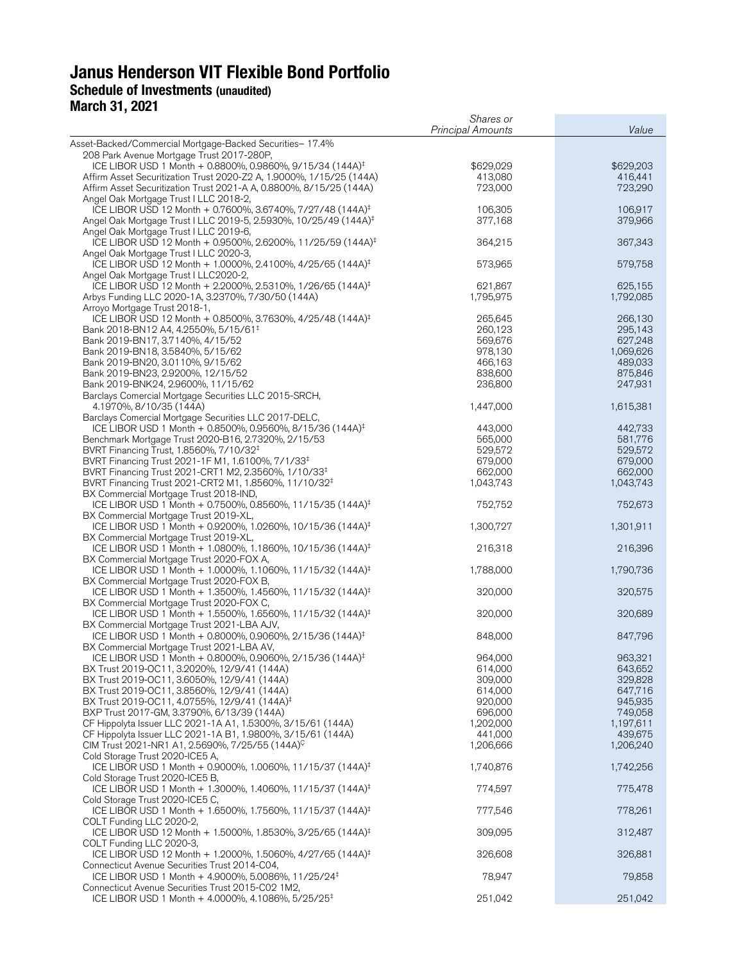# **Janus Henderson VIT Flexible Bond Portfolio Schedule of Investments (unaudited) March 31, 2021**

|                                                                                                           | Shares or                |                    |
|-----------------------------------------------------------------------------------------------------------|--------------------------|--------------------|
|                                                                                                           | <b>Principal Amounts</b> | Value              |
| Asset-Backed/Commercial Mortgage-Backed Securities- 17.4%                                                 |                          |                    |
| 208 Park Avenue Mortgage Trust 2017-280P,                                                                 |                          |                    |
| ICE LIBOR USD 1 Month + 0.8800%, 0.9860%, 9/15/34 (144A) <sup>‡</sup>                                     | \$629,029                | \$629,203          |
| Affirm Asset Securitization Trust 2020-Z2 A, 1.9000%, 1/15/25 (144A)                                      | 413,080                  | 416,441            |
| Affirm Asset Securitization Trust 2021-A A, 0.8800%, 8/15/25 (144A)                                       | 723,000                  | 723,290            |
| Angel Oak Mortgage Trust I LLC 2018-2,                                                                    |                          |                    |
| ICE LIBOR USD 12 Month + 0.7600%, 3.6740%, 7/27/48 (144A) <sup>‡</sup>                                    | 106,305                  | 106,917            |
| Angel Oak Mortgage Trust I LLC 2019-5, 2.5930%, 10/25/49 (144A) <sup>‡</sup>                              | 377,168                  | 379,966            |
| Angel Oak Mortgage Trust I LLC 2019-6,                                                                    |                          |                    |
| ICE LIBOR USD 12 Month + 0.9500%, 2.6200%, 11/25/59 (144A) <sup>‡</sup>                                   | 364,215                  | 367,343            |
| Angel Oak Mortgage Trust I LLC 2020-3,                                                                    |                          |                    |
| ICE LIBOR USD 12 Month + 1.0000%, 2.4100%, 4/25/65 (144A) <sup>‡</sup>                                    | 573,965                  | 579,758            |
| Angel Oak Mortgage Trust I LLC2020-2,                                                                     |                          |                    |
| ICE LIBOR USD 12 Month + 2.2000%, 2.5310%, 1/26/65 (144A) <sup>‡</sup>                                    | 621.867                  | 625,155            |
| Arbys Funding LLC 2020-1A, 3.2370%, 7/30/50 (144A)                                                        | 1,795,975                | 1,792,085          |
| Arroyo Mortgage Trust 2018-1,                                                                             |                          |                    |
| ICE LIBOR USD 12 Month + 0.8500%, 3.7630%, 4/25/48 (144A) <sup>‡</sup>                                    | 265,645                  | 266,130            |
| Bank 2018-BN12 A4, 4.2550%, 5/15/61 <sup>‡</sup><br>Bank 2019-BN17, 3.7140%, 4/15/52                      | 260,123<br>569,676       | 295,143<br>627,248 |
| Bank 2019-BN18, 3.5840%, 5/15/62                                                                          | 978,130                  | 1,069,626          |
| Bank 2019-BN20, 3.0110%, 9/15/62                                                                          | 466,163                  | 489,033            |
| Bank 2019-BN23, 2.9200%, 12/15/52                                                                         | 838,600                  | 875,846            |
| Bank 2019-BNK24, 2.9600%, 11/15/62                                                                        | 236,800                  | 247,931            |
| Barclays Comercial Mortgage Securities LLC 2015-SRCH,                                                     |                          |                    |
| 4.1970%, 8/10/35 (144A)                                                                                   | 1,447,000                | 1,615,381          |
| Barclays Comercial Mortgage Securities LLC 2017-DELC,                                                     |                          |                    |
| ICE LIBOR USD 1 Month + 0.8500%, 0.9560%, 8/15/36 (144A) <sup>‡</sup>                                     | 443,000                  | 442,733            |
| Benchmark Mortgage Trust 2020-B16, 2.7320%, 2/15/53                                                       | 565,000                  | 581,776            |
| BVRT Financing Trust, 1.8560%, 7/10/32 <sup>‡</sup>                                                       | 529,572                  | 529,572            |
| BVRT Financing Trust 2021-1F M1, 1.6100%, 7/1/33 <sup>‡</sup>                                             | 679,000                  | 679,000            |
| BVRT Financing Trust 2021-CRT1 M2, 2.3560%, 1/10/33 <sup>‡</sup>                                          | 662,000                  | 662,000            |
| BVRT Financing Trust 2021-CRT2 M1, 1.8560%, 11/10/32 <sup>‡</sup>                                         | 1,043,743                | 1,043,743          |
| BX Commercial Mortgage Trust 2018-IND,                                                                    |                          |                    |
| ICE LIBOR USD 1 Month + 0.7500%, 0.8560%, 11/15/35 (144A) <sup>‡</sup>                                    | 752,752                  | 752,673            |
| BX Commercial Mortgage Trust 2019-XL,                                                                     |                          |                    |
| ICE LIBOR USD 1 Month + 0.9200%, 1.0260%, 10/15/36 (144A) <sup>‡</sup>                                    | 1,300,727                | 1,301,911          |
| BX Commercial Mortgage Trust 2019-XL,                                                                     |                          |                    |
| ICE LIBOR USD 1 Month + 1.0800%, 1.1860%, 10/15/36 (144A) <sup>‡</sup>                                    | 216,318                  | 216,396            |
| BX Commercial Mortgage Trust 2020-FOX A,                                                                  |                          |                    |
| ICE LIBOR USD 1 Month + 1.0000%, 1.1060%, 11/15/32 (144A) <sup>‡</sup>                                    | 1,788,000                | 1,790,736          |
| BX Commercial Mortgage Trust 2020-FOX B,                                                                  |                          |                    |
| ICE LIBOR USD 1 Month + 1.3500%, 1.4560%, 11/15/32 (144A) <sup>‡</sup>                                    | 320,000                  | 320,575            |
| BX Commercial Mortgage Trust 2020-FOX C,                                                                  |                          |                    |
| ICE LIBOR USD 1 Month + 1.5500%, 1.6560%, 11/15/32 (144A) <sup>‡</sup>                                    | 320,000                  | 320,689            |
| BX Commercial Mortgage Trust 2021-LBA AJV,                                                                |                          |                    |
| ICE LIBOR USD 1 Month + 0.8000%, 0.9060%, 2/15/36 (144A) <sup>‡</sup>                                     | 848,000                  | 847,796            |
| BX Commercial Mortgage Trust 2021-LBA AV,                                                                 |                          |                    |
| ICE LIBOR USD 1 Month + 0.8000%, 0.9060%, 2/15/36 (144A) <sup>‡</sup>                                     | 964,000                  | 963,321            |
| BX Trust 2019-OC11, 3.2020%, 12/9/41 (144A)                                                               | 614,000                  | 643,652            |
| BX Trust 2019-OC11, 3.6050%, 12/9/41 (144A)                                                               | 309,000                  | 329,828            |
| BX Trust 2019-OC11, 3.8560%, 12/9/41 (144A)                                                               | 614,000                  | 647,716            |
| BX Trust 2019-OC11, 4.0755%, 12/9/41 (144A) <sup>‡</sup>                                                  | 920,000                  | 945,935            |
| BXP Trust 2017-GM, 3.3790%, 6/13/39 (144A)                                                                | 696,000                  | 749,058            |
| CF Hippolyta Issuer LLC 2021-1A A1, 1.5300%, 3/15/61 (144A)                                               | 1,202,000                | 1,197,611          |
| CF Hippolyta Issuer LLC 2021-1A B1, 1.9800%, 3/15/61 (144A)                                               | 441.000                  | 439,675            |
| CIM Trust 2021-NR1 A1, 2.5690%, 7/25/55 (144A) <sup>C</sup>                                               | 1,206,666                | 1,206,240          |
| Cold Storage Trust 2020-ICE5 A,<br>ICE LIBOR USD 1 Month + 0.9000%, 1.0060%, 11/15/37 (144A) <sup>‡</sup> |                          |                    |
| Cold Storage Trust 2020-ICE5 B,                                                                           | 1,740,876                | 1,742,256          |
| ICE LIBOR USD 1 Month + 1.3000%, 1.4060%, 11/15/37 (144A) <sup>‡</sup>                                    | 774,597                  | 775,478            |
| Cold Storage Trust 2020-ICE5 C,                                                                           |                          |                    |
| ICE LIBOR USD 1 Month + 1.6500%, 1.7560%, 11/15/37 (144A) <sup>‡</sup>                                    | 777,546                  | 778,261            |
| COLT Funding LLC 2020-2,                                                                                  |                          |                    |
| ICE LIBOR USD 12 Month + 1.5000%, 1.8530%, 3/25/65 (144A) <sup>‡</sup>                                    | 309,095                  | 312,487            |
| COLT Funding LLC 2020-3,                                                                                  |                          |                    |
| ICE LIBOR USD 12 Month + 1.2000%, 1.5060%, 4/27/65 (144A) <sup>‡</sup>                                    | 326,608                  | 326,881            |
| Connecticut Avenue Securities Trust 2014-C04,                                                             |                          |                    |
| ICE LIBOR USD 1 Month + 4.9000%, 5.0086%, 11/25/24 <sup>‡</sup>                                           | 78,947                   | 79,858             |
| Connecticut Avenue Securities Trust 2015-C02 1M2,                                                         |                          |                    |
| ICE LIBOR USD 1 Month + 4.0000%, 4.1086%, 5/25/25 <sup>‡</sup>                                            | 251,042                  | 251,042            |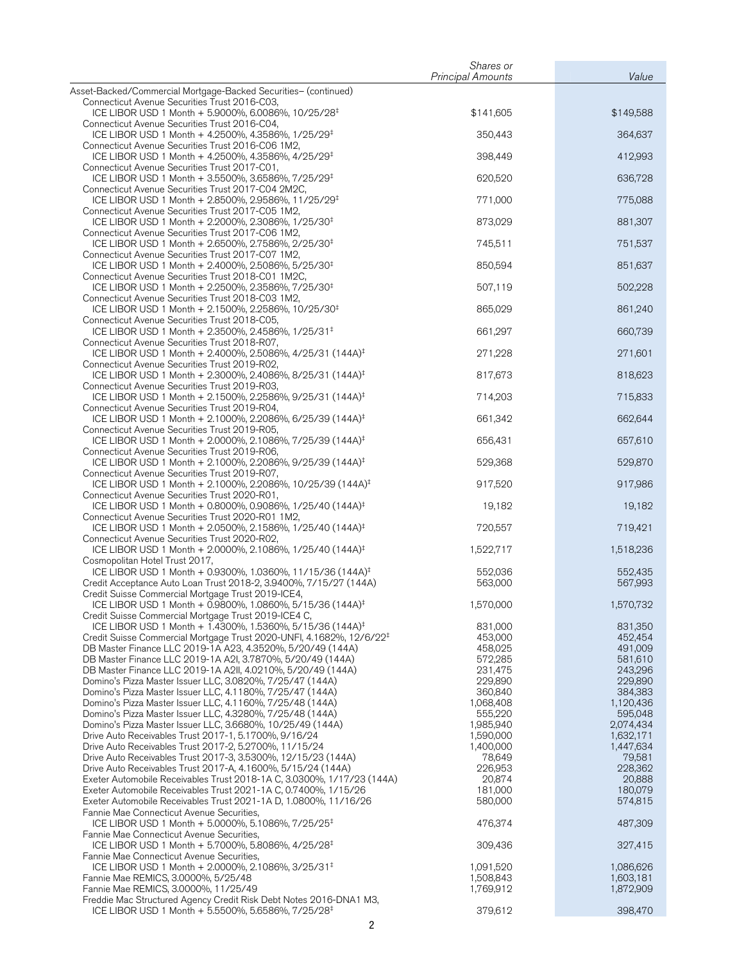|                                                                                                                                                | Shares or                |                      |
|------------------------------------------------------------------------------------------------------------------------------------------------|--------------------------|----------------------|
| Asset-Backed/Commercial Mortgage-Backed Securities- (continued)                                                                                | <b>Principal Amounts</b> | Value                |
| Connecticut Avenue Securities Trust 2016-C03,                                                                                                  |                          |                      |
| ICE LIBOR USD 1 Month + 5.9000%, 6.0086%, 10/25/28 <sup>‡</sup>                                                                                | \$141,605                | \$149,588            |
| Connecticut Avenue Securities Trust 2016-C04,<br>ICE LIBOR USD 1 Month + 4.2500%, 4.3586%, 1/25/29 <sup>‡</sup>                                | 350,443                  | 364,637              |
| Connecticut Avenue Securities Trust 2016-C06 1M2,                                                                                              |                          |                      |
| ICE LIBOR USD 1 Month + 4.2500%, 4.3586%, 4/25/29 <sup>‡</sup>                                                                                 | 398,449                  | 412,993              |
| Connecticut Avenue Securities Trust 2017-C01,<br>ICE LIBOR USD 1 Month + 3.5500%, 3.6586%, 7/25/29 <sup>‡</sup>                                | 620,520                  | 636,728              |
| Connecticut Avenue Securities Trust 2017-C04 2M2C,                                                                                             |                          |                      |
| ICE LIBOR USD 1 Month + 2.8500%, 2.9586%, 11/25/29 <sup>‡</sup>                                                                                | 771,000                  | 775,088              |
| Connecticut Avenue Securities Trust 2017-C05 1M2,<br>ICE LIBOR USD 1 Month + 2.2000%, 2.3086%, 1/25/30 <sup>‡</sup>                            | 873,029                  | 881,307              |
| Connecticut Avenue Securities Trust 2017-C06 1M2,                                                                                              |                          |                      |
| ICE LIBOR USD 1 Month + 2.6500%, 2.7586%, 2/25/30 <sup>‡</sup>                                                                                 | 745,511                  | 751,537              |
| Connecticut Avenue Securities Trust 2017-C07 1M2,<br>ICE LIBOR USD 1 Month + 2.4000%, 2.5086%, 5/25/30 <sup>‡</sup>                            | 850,594                  | 851,637              |
| Connecticut Avenue Securities Trust 2018-C01 1M2C,                                                                                             |                          |                      |
| ICE LIBOR USD 1 Month + 2.2500%, 2.3586%, 7/25/30 <sup>‡</sup><br>Connecticut Avenue Securities Trust 2018-C03 1M2,                            | 507,119                  | 502,228              |
| ICE LIBOR USD 1 Month + 2.1500%, 2.2586%, 10/25/30 <sup>‡</sup>                                                                                | 865,029                  | 861,240              |
| Connecticut Avenue Securities Trust 2018-C05,                                                                                                  |                          |                      |
| ICE LIBOR USD 1 Month + 2.3500%, 2.4586%, 1/25/31 <sup>‡</sup><br>Connecticut Avenue Securities Trust 2018-R07,                                | 661,297                  | 660,739              |
| ICE LIBOR USD 1 Month + 2.4000%, 2.5086%, 4/25/31 (144A) <sup>‡</sup>                                                                          | 271,228                  | 271,601              |
| Connecticut Avenue Securities Trust 2019-R02,                                                                                                  | 817,673                  |                      |
| ICE LIBOR USD 1 Month + 2.3000%, 2.4086%, 8/25/31 (144A) <sup>‡</sup><br>Connecticut Avenue Securities Trust 2019-R03,                         |                          | 818,623              |
| ICE LIBOR USD 1 Month + 2.1500%, 2.2586%, 9/25/31 (144A) <sup>‡</sup>                                                                          | 714,203                  | 715,833              |
| Connecticut Avenue Securities Trust 2019-R04,<br>ICE LIBOR USD 1 Month + 2.1000%, 2.2086%, 6/25/39 (144A) <sup>‡</sup>                         | 661,342                  | 662,644              |
| Connecticut Avenue Securities Trust 2019-R05,                                                                                                  |                          |                      |
| ICE LIBOR USD 1 Month + 2.0000%, 2.1086%, 7/25/39 (144A) <sup>‡</sup><br>Connecticut Avenue Securities Trust 2019-R06,                         | 656,431                  | 657,610              |
| ICE LIBOR USD 1 Month + 2.1000%, 2.2086%, 9/25/39 (144A) <sup>‡</sup>                                                                          | 529,368                  | 529,870              |
| Connecticut Avenue Securities Trust 2019-R07,<br>ICE LIBOR USD 1 Month + 2.1000%, 2.2086%, 10/25/39 (144A) <sup>‡</sup>                        | 917,520                  | 917,986              |
| Connecticut Avenue Securities Trust 2020-R01,<br>ICE LIBOR USD 1 Month + 0.8000%, 0.9086%, 1/25/40 (144A) <sup>‡</sup>                         | 19,182                   | 19,182               |
| Connecticut Avenue Securities Trust 2020-R01 1M2,                                                                                              |                          |                      |
| ICE LIBOR USD 1 Month + 2.0500%, 2.1586%, 1/25/40 (144A) <sup>‡</sup><br>Connecticut Avenue Securities Trust 2020-R02,                         | 720,557                  | 719,421              |
| ICE LIBOR USD 1 Month + 2.0000%, 2.1086%, 1/25/40 (144A) <sup>‡</sup>                                                                          | 1,522,717                | 1,518,236            |
| Cosmopolitan Hotel Trust 2017,<br>ICE LIBOR USD 1 Month + 0.9300%, 1.0360%, 11/15/36 (144A) <sup>‡</sup>                                       | 552,036                  | 552,435              |
| Credit Acceptance Auto Loan Trust 2018-2, 3.9400%, 7/15/27 (144A)                                                                              | 563,000                  | 567,993              |
| Credit Suisse Commercial Mortgage Trust 2019-ICE4,<br>ICE LIBOR USD 1 Month + 0.9800%, 1.0860%, 5/15/36 (144A) <sup>‡</sup>                    |                          |                      |
| Credit Suisse Commercial Mortgage Trust 2019-ICE4 C,                                                                                           | 1,570,000                | 1,570,732            |
| ICE LIBOR USD 1 Month + 1.4300%, 1.5360%, 5/15/36 (144A) <sup>‡</sup>                                                                          | 831,000                  | 831,350              |
| Credit Suisse Commercial Mortgage Trust 2020-UNFI, 4.1682%, 12/6/22 <sup>‡</sup><br>DB Master Finance LLC 2019-1A A23, 4.3520%, 5/20/49 (144A) | 453,000<br>458,025       | 452,454<br>491,009   |
| DB Master Finance LLC 2019-1A A2I, 3.7870%, 5/20/49 (144A)                                                                                     | 572,285                  | 581,610              |
| DB Master Finance LLC 2019-1A A2II, 4.0210%, 5/20/49 (144A)                                                                                    | 231,475                  | 243,296              |
| Domino's Pizza Master Issuer LLC, 3.0820%, 7/25/47 (144A)                                                                                      | 229,890                  | 229,890              |
| Domino's Pizza Master Issuer LLC, 4.1180%, 7/25/47 (144A)                                                                                      | 360,840<br>1,068,408     | 384,383<br>1,120,436 |
| Domino's Pizza Master Issuer LLC, 4.1160%, 7/25/48 (144A)<br>Domino's Pizza Master Issuer LLC, 4.3280%, 7/25/48 (144A)                         | 555,220                  | 595,048              |
| Domino's Pizza Master Issuer LLC, 3.6680%, 10/25/49 (144A)                                                                                     | 1,985,940                | 2,074,434            |
| Drive Auto Receivables Trust 2017-1, 5.1700%, 9/16/24                                                                                          | 1,590,000                | 1,632,171            |
| Drive Auto Receivables Trust 2017-2, 5.2700%, 11/15/24                                                                                         | 1,400,000                | 1,447,634            |
| Drive Auto Receivables Trust 2017-3, 3.5300%, 12/15/23 (144A)<br>Drive Auto Receivables Trust 2017-A, 4.1600%, 5/15/24 (144A)                  | 78,649<br>226,953        | 79,581<br>228,362    |
| Exeter Automobile Receivables Trust 2018-1A C, 3.0300%, 1/17/23 (144A)                                                                         | 20,874                   | 20,888               |
| Exeter Automobile Receivables Trust 2021-1A C, 0.7400%, 1/15/26                                                                                | 181,000                  | 180,079              |
| Exeter Automobile Receivables Trust 2021-1A D, 1.0800%, 11/16/26                                                                               | 580,000                  | 574,815              |
| Fannie Mae Connecticut Avenue Securities,<br>ICE LIBOR USD 1 Month + 5.0000%, 5.1086%, 7/25/25 <sup>‡</sup>                                    | 476,374                  | 487,309              |
| Fannie Mae Connecticut Avenue Securities,                                                                                                      |                          |                      |
| ICE LIBOR USD 1 Month + 5.7000%, 5.8086%, 4/25/28 <sup>‡</sup>                                                                                 | 309,436                  | 327,415              |
| Fannie Mae Connecticut Avenue Securities,<br>ICE LIBOR USD 1 Month + 2.0000%, 2.1086%, 3/25/31 <sup>‡</sup>                                    | 1,091,520                | 1,086,626            |
| Fannie Mae REMICS, 3.0000%, 5/25/48                                                                                                            | 1,508,843                | 1,603,181            |
| Fannie Mae REMICS, 3.0000%, 11/25/49                                                                                                           | 1,769,912                | 1,872,909            |
| Freddie Mac Structured Agency Credit Risk Debt Notes 2016-DNA1 M3,                                                                             |                          |                      |
| ICE LIBOR USD 1 Month + 5.5500%, 5.6586%, 7/25/28 <sup>‡</sup>                                                                                 | 379,612                  | 398,470              |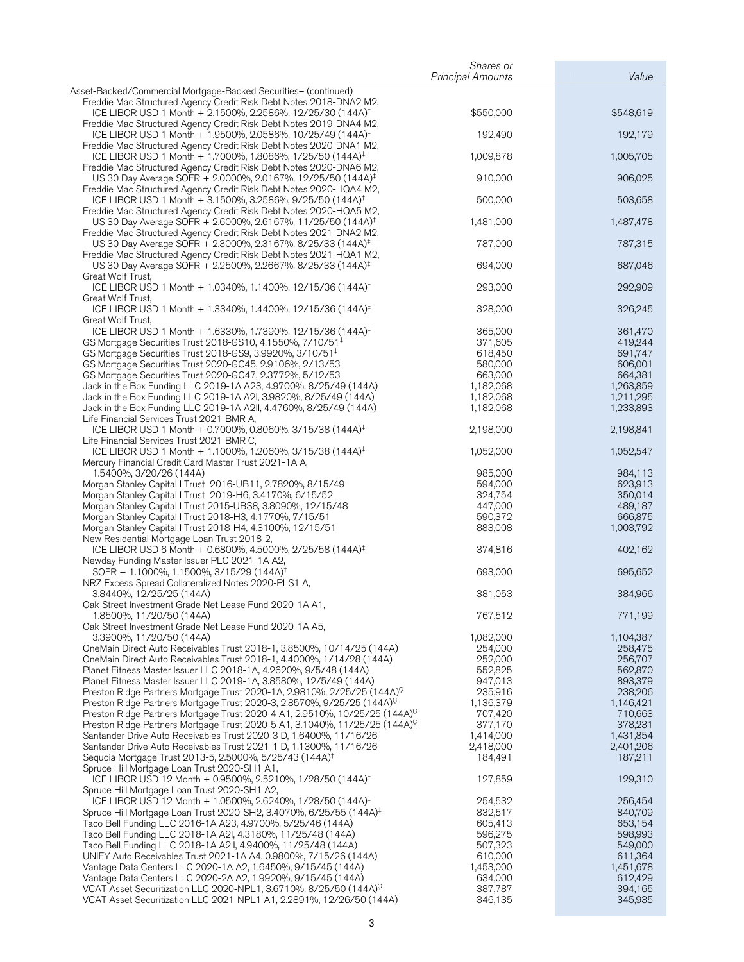|                                                                                                                                                 | Shares or                |                      |
|-------------------------------------------------------------------------------------------------------------------------------------------------|--------------------------|----------------------|
|                                                                                                                                                 | <b>Principal Amounts</b> | Value                |
| Asset-Backed/Commercial Mortgage-Backed Securities- (continued)<br>Freddie Mac Structured Agency Credit Risk Debt Notes 2018-DNA2 M2,           |                          |                      |
| ICE LIBOR USD 1 Month + 2.1500%, 2.2586%, 12/25/30 (144A) <sup>‡</sup><br>Freddie Mac Structured Agency Credit Risk Debt Notes 2019-DNA4 M2,    | \$550,000                | \$548,619            |
| ICE LIBOR USD 1 Month + 1.9500%, 2.0586%, 10/25/49 (144A) <sup>‡</sup><br>Freddie Mac Structured Agency Credit Risk Debt Notes 2020-DNA1 M2,    | 192,490                  | 192,179              |
| ICE LIBOR USD 1 Month + 1.7000%, 1.8086%, 1/25/50 (144A) <sup>‡</sup>                                                                           | 1,009,878                | 1,005,705            |
| Freddie Mac Structured Agency Credit Risk Debt Notes 2020-DNA6 M2,<br>US 30 Day Average SOFR + 2.0000%, 2.0167%, 12/25/50 (144A) <sup>‡</sup>   | 910,000                  | 906,025              |
| Freddie Mac Structured Agency Credit Risk Debt Notes 2020-HQA4 M2,<br>ICE LIBOR USD 1 Month + 3.1500%, 3.2586%, 9/25/50 (144A) <sup>‡</sup>     | 500,000                  | 503,658              |
| Freddie Mac Structured Agency Credit Risk Debt Notes 2020-HQA5 M2,<br>US 30 Day Average SOFR + 2.6000%, 2.6167%, 11/25/50 (144A) <sup>‡</sup>   | 1,481,000                | 1,487,478            |
| Freddie Mac Structured Agency Credit Risk Debt Notes 2021-DNA2 M2,<br>US 30 Day Average SOFR + 2.3000%, 2.3167%, 8/25/33 (144A) <sup>‡</sup>    | 787,000                  | 787,315              |
| Freddie Mac Structured Agency Credit Risk Debt Notes 2021-HQA1 M2,<br>US 30 Day Average SOFR + 2.2500%, 2.2667%, 8/25/33 (144A) <sup>‡</sup>    | 694,000                  | 687,046              |
| Great Wolf Trust,<br>ICE LIBOR USD 1 Month + 1.0340%, 1.1400%, 12/15/36 (144A) <sup>‡</sup>                                                     | 293,000                  | 292,909              |
| Great Wolf Trust,<br>ICE LIBOR USD 1 Month + 1.3340%, 1.4400%, 12/15/36 (144A) <sup>‡</sup>                                                     | 328,000                  | 326,245              |
| Great Wolf Trust,                                                                                                                               |                          |                      |
| ICE LIBOR USD 1 Month + 1.6330%, 1.7390%, 12/15/36 (144A) <sup>‡</sup><br>GS Mortgage Securities Trust 2018-GS10, 4.1550%, 7/10/51 <sup>‡</sup> | 365,000<br>371,605       | 361,470<br>419,244   |
| GS Mortgage Securities Trust 2018-GS9, 3.9920%, 3/10/51 <sup>‡</sup>                                                                            | 618,450                  | 691,747              |
| GS Mortgage Securities Trust 2020-GC45, 2.9106%, 2/13/53                                                                                        | 580,000                  | 606,001              |
| GS Mortgage Securities Trust 2020-GC47, 2.3772%, 5/12/53                                                                                        | 663,000                  | 664,381              |
| Jack in the Box Funding LLC 2019-1A A23, 4.9700%, 8/25/49 (144A)                                                                                | 1,182,068                | 1,263,859            |
| Jack in the Box Funding LLC 2019-1A A2I, 3.9820%, 8/25/49 (144A)                                                                                | 1,182,068                | 1,211,295            |
| Jack in the Box Funding LLC 2019-1A A2II, 4.4760%, 8/25/49 (144A)                                                                               | 1,182,068                | 1,233,893            |
| Life Financial Services Trust 2021-BMR A,<br>ICE LIBOR USD 1 Month + 0.7000%, 0.8060%, 3/15/38 (144A) <sup>‡</sup>                              | 2,198,000                | 2,198,841            |
| Life Financial Services Trust 2021-BMR C,<br>ICE LIBOR USD 1 Month + 1.1000%, 1.2060%, 3/15/38 (144A) <sup>‡</sup>                              | 1,052,000                | 1,052,547            |
| Mercury Financial Credit Card Master Trust 2021-1A A,                                                                                           |                          |                      |
| 1.5400%, 3/20/26 (144A)                                                                                                                         | 985,000                  | 984,113              |
| Morgan Stanley Capital I Trust 2016-UB11, 2.7820%, 8/15/49                                                                                      | 594,000                  | 623,913              |
| Morgan Stanley Capital I Trust 2019-H6, 3.4170%, 6/15/52                                                                                        | 324,754                  | 350,014              |
| Morgan Stanley Capital I Trust 2015-UBS8, 3.8090%, 12/15/48                                                                                     | 447,000                  | 489,187              |
| Morgan Stanley Capital I Trust 2018-H3, 4.1770%, 7/15/51<br>Morgan Stanley Capital I Trust 2018-H4, 4.3100%, 12/15/51                           | 590,372<br>883,008       | 666,875<br>1,003,792 |
| New Residential Mortgage Loan Trust 2018-2,<br>ICE LIBOR USD 6 Month + 0.6800%, 4.5000%, 2/25/58 (144A) <sup>‡</sup>                            | 374,816                  | 402,162              |
| Newday Funding Master Issuer PLC 2021-1A A2,                                                                                                    |                          |                      |
| SOFR + 1.1000%, 1.1500%, 3/15/29 (144A) <sup>‡</sup><br>NRZ Excess Spread Collateralized Notes 2020-PLS1 A,                                     | 693,000                  | 695,652              |
| 3.8440%, 12/25/25 (144A)                                                                                                                        | 381,053                  | 384,966              |
| Oak Street Investment Grade Net Lease Fund 2020-1A A1,<br>1.8500%, 11/20/50 (144A)                                                              | 767,512                  | 771,199              |
| Oak Street Investment Grade Net Lease Fund 2020-1A A5,<br>3.3900%, 11/20/50 (144A)                                                              | 1,082,000                | 1,104,387            |
| OneMain Direct Auto Receivables Trust 2018-1, 3.8500%, 10/14/25 (144A)                                                                          | 254,000                  | 258,475              |
| OneMain Direct Auto Receivables Trust 2018-1, 4.4000%, 1/14/28 (144A)                                                                           | 252,000                  | 256,707              |
| Planet Fitness Master Issuer LLC 2018-1A, 4.2620%, 9/5/48 (144A)                                                                                | 552,825                  | 562,870              |
| Planet Fitness Master Issuer LLC 2019-1A, 3.8580%, 12/5/49 (144A)                                                                               | 947,013                  | 893,379              |
| Preston Ridge Partners Mortgage Trust 2020-1A, 2.9810%, 2/25/25 (144A) <sup>C</sup>                                                             | 235,916                  | 238,206              |
| Preston Ridge Partners Mortgage Trust 2020-3, 2.8570%, 9/25/25 (144A) <sup>C</sup>                                                              | 1,136,379                | 1,146,421            |
| Preston Ridge Partners Mortgage Trust 2020-4 A1, 2.9510%, 10/25/25 (144A) <sup>C</sup>                                                          | 707,420                  | 710,663              |
| Preston Ridge Partners Mortgage Trust 2020-5 A1, 3.1040%, 11/25/25 (144A) <sup>C</sup>                                                          | 377,170                  | 378,231              |
| Santander Drive Auto Receivables Trust 2020-3 D, 1.6400%, 11/16/26                                                                              | 1,414,000                | 1,431,854            |
| Santander Drive Auto Receivables Trust 2021-1 D, 1.1300%, 11/16/26                                                                              | 2,418,000                | 2,401,206            |
|                                                                                                                                                 |                          |                      |
| Sequoia Mortgage Trust 2013-5, 2.5000%, 5/25/43 (144A) <sup>‡</sup><br>Spruce Hill Mortgage Loan Trust 2020-SH1 A1,                             | 184,491                  | 187,211              |
| ICE LIBOR USD 12 Month + 0.9500%, 2.5210%, 1/28/50 (144A) <sup>‡</sup><br>Spruce Hill Mortgage Loan Trust 2020-SH1 A2,                          | 127,859                  | 129,310              |
| ICE LIBOR USD 12 Month + 1.0500%, 2.6240%, 1/28/50 (144A) <sup>‡</sup>                                                                          | 254,532                  | 256,454              |
| Spruce Hill Mortgage Loan Trust 2020-SH2, 3.4070%, 6/25/55 (144A) <sup>‡</sup>                                                                  | 832,517                  | 840,709              |
| Taco Bell Funding LLC 2016-1A A23, 4.9700%, 5/25/46 (144A)                                                                                      | 605,413                  | 653,154              |
| Taco Bell Funding LLC 2018-1A A2I, 4.3180%, 11/25/48 (144A)                                                                                     | 596,275                  | 598,993              |
| Taco Bell Funding LLC 2018-1A A2II, 4.9400%, 11/25/48 (144A)                                                                                    | 507,323                  | 549,000              |
| UNIFY Auto Receivables Trust 2021-1A A4, 0.9800%, 7/15/26 (144A)                                                                                | 610,000                  | 611,364              |
| Vantage Data Centers LLC 2020-1A A2, 1.6450%, 9/15/45 (144A)                                                                                    | 1,453,000                | 1,451,678            |
| Vantage Data Centers LLC 2020-2A A2, 1.9920%, 9/15/45 (144A)                                                                                    | 634,000                  | 612,429              |
| VCAT Asset Securitization LLC 2020-NPL1, 3.6710%, 8/25/50 (144A) <sup>C</sup>                                                                   | 387,787                  | 394,165              |
| VCAT Asset Securitization LLC 2021-NPL1 A1, 2.2891%, 12/26/50 (144A)                                                                            | 346,135                  | 345,935              |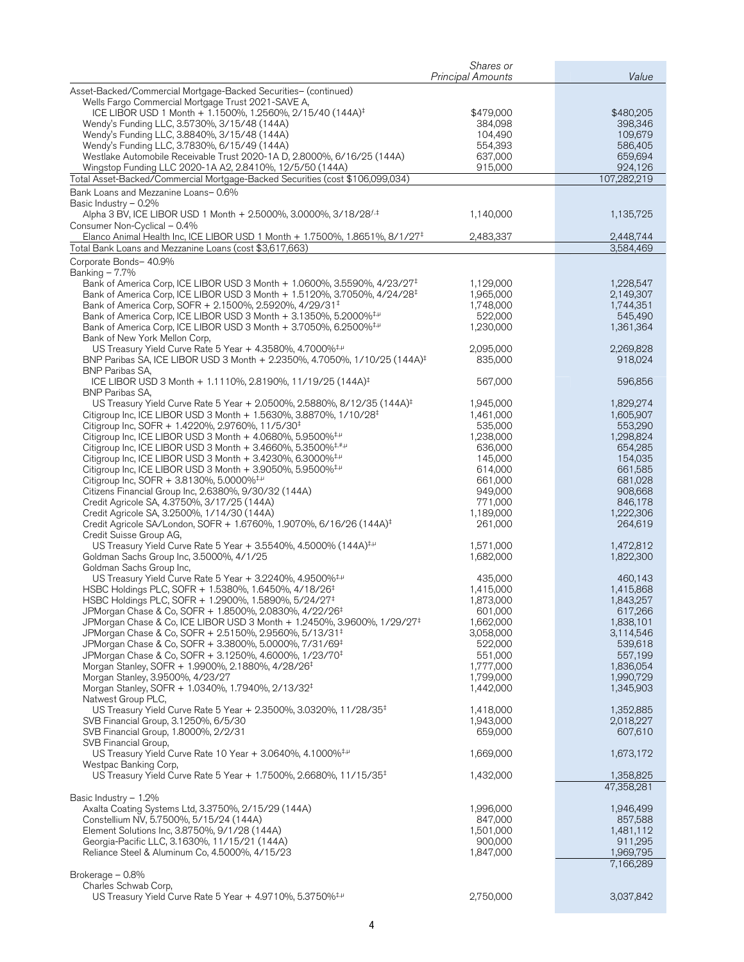|                                                                                                                                                                | Shares or<br><b>Principal Amounts</b> | Value                  |
|----------------------------------------------------------------------------------------------------------------------------------------------------------------|---------------------------------------|------------------------|
| Asset-Backed/Commercial Mortgage-Backed Securities- (continued)                                                                                                |                                       |                        |
| Wells Fargo Commercial Mortgage Trust 2021-SAVE A,                                                                                                             |                                       |                        |
| ICE LIBOR USD 1 Month + 1.1500%, 1.2560%, 2/15/40 (144A) <sup>‡</sup>                                                                                          | \$479,000                             | \$480,205              |
| Wendy's Funding LLC, 3.5730%, 3/15/48 (144A)                                                                                                                   | 384,098                               | 398,346                |
| Wendy's Funding LLC, 3.8840%, 3/15/48 (144A)                                                                                                                   | 104,490                               | 109,679                |
| Wendy's Funding LLC, 3.7830%, 6/15/49 (144A)                                                                                                                   | 554,393                               | 586,405                |
| Westlake Automobile Receivable Trust 2020-1A D, 2.8000%, 6/16/25 (144A)                                                                                        | 637,000                               | 659,694                |
| Wingstop Funding LLC 2020-1A A2, 2.8410%, 12/5/50 (144A)                                                                                                       | 915,000                               | 924,126                |
| Total Asset-Backed/Commercial Mortgage-Backed Securities (cost \$106,099,034)                                                                                  |                                       | 107,282,219            |
| Bank Loans and Mezzanine Loans-0.6%                                                                                                                            |                                       |                        |
| Basic Industry - 0.2%<br>Alpha 3 BV, ICE LIBOR USD 1 Month + 2.5000%, 3.0000%, 3/18/28 <sup>f,‡</sup>                                                          | 1,140,000                             | 1,135,725              |
| Consumer Non-Cyclical - 0.4%                                                                                                                                   |                                       |                        |
| Elanco Animal Health Inc, ICE LIBOR USD 1 Month + 1.7500%, 1.8651%, 8/1/27 <sup>‡</sup>                                                                        | 2,483,337                             | 2,448,744              |
| Total Bank Loans and Mezzanine Loans (cost \$3,617,663)                                                                                                        |                                       | 3,584,469              |
| Corporate Bonds- 40.9%                                                                                                                                         |                                       |                        |
| Banking $-7.7%$                                                                                                                                                |                                       |                        |
| Bank of America Corp, ICE LIBOR USD 3 Month + 1.0600%, 3.5590%, 4/23/27 <sup>‡</sup>                                                                           | 1,129,000                             | 1,228,547              |
| Bank of America Corp, ICE LIBOR USD 3 Month + 1.5120%, 3.7050%, 4/24/28 <sup>‡</sup>                                                                           | 1,965,000                             | 2,149,307              |
| Bank of America Corp, SOFR + 2.1500%, 2.5920%, 4/29/31 <sup>‡</sup>                                                                                            | 1,748,000<br>522,000                  | 1,744,351              |
| Bank of America Corp, ICE LIBOR USD 3 Month + 3.1350%, 5.2000% <sup>‡,µ</sup><br>Bank of America Corp, ICE LIBOR USD 3 Month + 3.7050%, 6.2500% <sup>‡,µ</sup> | 1,230,000                             | 545,490<br>1,361,364   |
| Bank of New York Mellon Corp,                                                                                                                                  |                                       |                        |
| US Treasury Yield Curve Rate 5 Year + 4.3580%, 4.7000% <sup>‡,µ</sup>                                                                                          | 2,095,000                             | 2,269,828              |
| BNP Paribas SA, ICE LIBOR USD 3 Month + 2.2350%, 4.7050%, 1/10/25 (144A) <sup>‡</sup>                                                                          | 835,000                               | 918,024                |
| <b>BNP Paribas SA,</b>                                                                                                                                         |                                       |                        |
| ICE LIBOR USD 3 Month + 1.1110%, 2.8190%, 11/19/25 (144A) <sup>‡</sup>                                                                                         | 567,000                               | 596,856                |
| <b>BNP Paribas SA,</b>                                                                                                                                         |                                       |                        |
| US Treasury Yield Curve Rate 5 Year + 2.0500%, 2.5880%, 8/12/35 (144A) <sup>‡</sup>                                                                            | 1,945,000<br>1,461,000                | 1,829,274              |
| Citigroup Inc, ICE LIBOR USD 3 Month + 1.5630%, 3.8870%, 1/10/28 <sup>‡</sup><br>Citigroup Inc, SOFR + 1.4220%, 2.9760%, 11/5/30 <sup>‡</sup>                  | 535,000                               | 1,605,907<br>553,290   |
| Citigroup Inc, ICE LIBOR USD 3 Month + 4.0680%, 5.9500% <sup>‡,µ</sup>                                                                                         | 1,238,000                             | 1,298,824              |
| Citigroup Inc, ICE LIBOR USD 3 Month + 3.4660%, 5.3500% $\frac{1}{7}$                                                                                          | 636,000                               | 654,285                |
| Citigroup Inc, ICE LIBOR USD 3 Month $+$ 3.4230%, 6.3000% $\pm\mu$                                                                                             | 145,000                               | 154,035                |
| Citigroup Inc, ICE LIBOR USD 3 Month $+$ 3.9050%, 5.9500% <sup>‡,<math>\mu</math></sup>                                                                        | 614,000                               | 661,585                |
| Citigroup Inc, SOFR + 3.8130%, 5.0000% <sup>‡,µ</sup>                                                                                                          | 661,000                               | 681,028                |
| Citizens Financial Group Inc, 2.6380%, 9/30/32 (144A)                                                                                                          | 949,000                               | 908,668                |
| Credit Agricole SA, 4.3750%, 3/17/25 (144A)                                                                                                                    | 771,000                               | 846,178                |
| Credit Agricole SA, 3.2500%, 1/14/30 (144A)                                                                                                                    | 1,189,000                             | 1,222,306              |
| Credit Agricole SA/London, SOFR + 1.6760%, 1.9070%, 6/16/26 (144A) <sup>‡</sup><br>Credit Suisse Group AG,                                                     | 261,000                               | 264,619                |
| US Treasury Yield Curve Rate 5 Year + 3.5540%, 4.5000% (144A) <sup>‡,µ</sup>                                                                                   | 1,571,000                             | 1,472,812              |
| Goldman Sachs Group Inc, 3.5000%, 4/1/25                                                                                                                       | 1,682,000                             | 1,822,300              |
| Goldman Sachs Group Inc,                                                                                                                                       |                                       |                        |
| US Treasury Yield Curve Rate 5 Year + 3.2240%, 4.9500% <sup>‡,µ</sup>                                                                                          | 435,000                               | 460,143                |
| HSBC Holdings PLC, SOFR + 1.5380%, 1.6450%, 4/18/26 <sup>‡</sup>                                                                                               | 1,415,000                             | 1,415,868              |
| HSBC Holdings PLC, SOFR + 1.2900%, 1.5890%, 5/24/27 <sup>‡</sup>                                                                                               | 1,873,000                             | 1,843,257              |
| JPMorgan Chase & Co, SOFR + 1.8500%, 2.0830%, 4/22/26 <sup>‡</sup>                                                                                             | 601,000                               | 617,266                |
| JPMorgan Chase & Co, ICE LIBOR USD 3 Month + 1.2450%, 3.9600%, 1/29/27 <sup>‡</sup>                                                                            | 1,662,000                             | 1,838,101              |
| JPMorgan Chase & Co, SOFR + 2.5150%, 2.9560%, 5/13/31 <sup>‡</sup>                                                                                             | 3,058,000                             | 3,114,546              |
| JPMorgan Chase & Co, SOFR + 3.3800%, 5.0000%, 7/31/69 <sup>‡</sup><br>JPMorgan Chase & Co, SOFR + 3.1250%, 4.6000%, 1/23/70 <sup>‡</sup>                       | 522,000<br>551,000                    | 539,618<br>557,199     |
| Morgan Stanley, SOFR + 1.9900%, 2.1880%, 4/28/26 <sup>‡</sup>                                                                                                  | 1,777,000                             | 1,836,054              |
| Morgan Stanley, 3.9500%, 4/23/27                                                                                                                               | 1,799,000                             | 1,990,729              |
| Morgan Stanley, SOFR + 1.0340%, 1.7940%, 2/13/32 <sup>‡</sup>                                                                                                  | 1,442,000                             | 1,345,903              |
| Natwest Group PLC,                                                                                                                                             |                                       |                        |
| US Treasury Yield Curve Rate 5 Year + 2.3500%, 3.0320%, 11/28/35 <sup>‡</sup>                                                                                  | 1,418,000                             | 1,352,885              |
| SVB Financial Group, 3.1250%, 6/5/30                                                                                                                           | 1,943,000                             | 2,018,227              |
| SVB Financial Group, 1.8000%, 2/2/31                                                                                                                           | 659,000                               | 607,610                |
| SVB Financial Group,                                                                                                                                           |                                       |                        |
| US Treasury Yield Curve Rate 10 Year + 3.0640%, 4.1000% <sup>‡,µ</sup><br>Westpac Banking Corp.                                                                | 1,669,000                             | 1,673,172              |
| US Treasury Yield Curve Rate 5 Year + 1.7500%, 2.6680%, 11/15/35 <sup>‡</sup>                                                                                  | 1,432,000                             | 1,358,825              |
|                                                                                                                                                                |                                       | 47,358,281             |
| Basic Industry $-1.2\%$                                                                                                                                        |                                       |                        |
| Axalta Coating Systems Ltd, 3.3750%, 2/15/29 (144A)                                                                                                            | 1,996,000                             | 1,946,499              |
| Constellium NV, 5.7500%, 5/15/24 (144A)                                                                                                                        | 847,000                               | 857,588                |
| Element Solutions Inc, 3.8750%, 9/1/28 (144A)                                                                                                                  | 1,501,000                             | 1,481,112              |
| Georgia-Pacific LLC, 3.1630%, 11/15/21 (144A)<br>Reliance Steel & Aluminum Co, 4.5000%, 4/15/23                                                                | 900,000                               | 911,295                |
|                                                                                                                                                                | 1,847,000                             | 1,969,795<br>7,166,289 |
| Brokerage - 0.8%                                                                                                                                               |                                       |                        |
| Charles Schwab Corp,                                                                                                                                           |                                       |                        |
| US Treasury Yield Curve Rate 5 Year + 4.9710%, 5.3750% <sup>‡,µ</sup>                                                                                          | 2,750,000                             | 3,037,842              |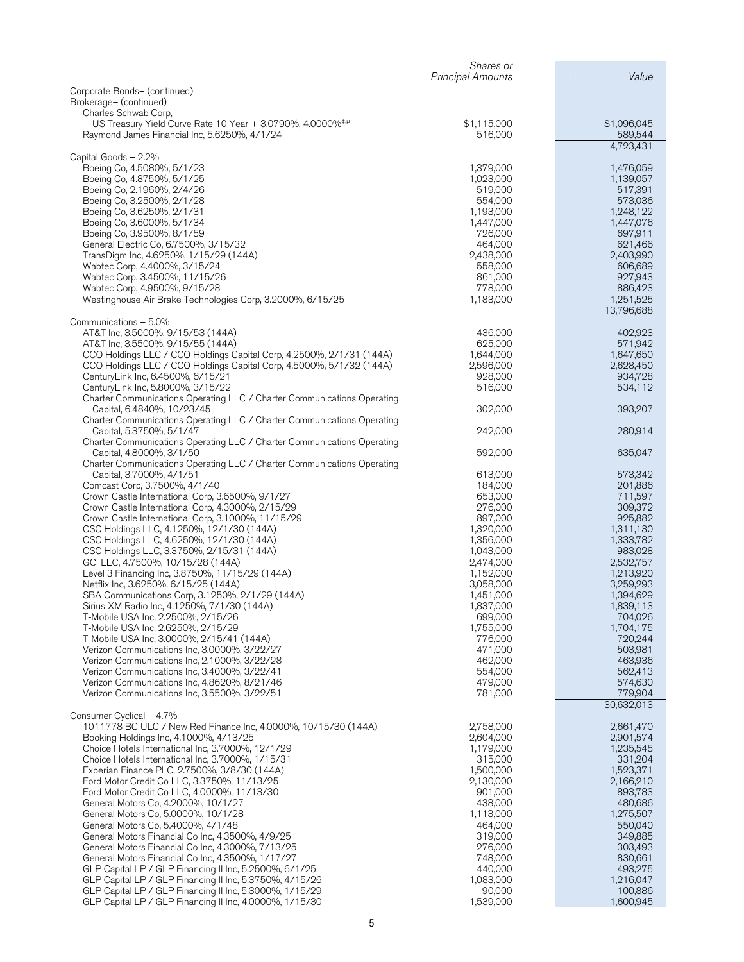|                                                                                                                                                                                                                                                                                                                                                                                                                                                                                                                                                                                                                                                                                                                                                                                                                                                                                                                           | Shares or<br><b>Principal Amounts</b>                                                                                                                                                                     | Value                                                                                                                                                                                                                 |
|---------------------------------------------------------------------------------------------------------------------------------------------------------------------------------------------------------------------------------------------------------------------------------------------------------------------------------------------------------------------------------------------------------------------------------------------------------------------------------------------------------------------------------------------------------------------------------------------------------------------------------------------------------------------------------------------------------------------------------------------------------------------------------------------------------------------------------------------------------------------------------------------------------------------------|-----------------------------------------------------------------------------------------------------------------------------------------------------------------------------------------------------------|-----------------------------------------------------------------------------------------------------------------------------------------------------------------------------------------------------------------------|
| Corporate Bonds- (continued)<br>Brokerage- (continued)                                                                                                                                                                                                                                                                                                                                                                                                                                                                                                                                                                                                                                                                                                                                                                                                                                                                    |                                                                                                                                                                                                           |                                                                                                                                                                                                                       |
| Charles Schwab Corp,<br>US Treasury Yield Curve Rate 10 Year + 3.0790%, 4.0000% <sup>‡,µ</sup><br>Raymond James Financial Inc, 5.6250%, 4/1/24                                                                                                                                                                                                                                                                                                                                                                                                                                                                                                                                                                                                                                                                                                                                                                            | \$1,115,000<br>516,000                                                                                                                                                                                    | \$1,096,045<br>589,544                                                                                                                                                                                                |
| Capital Goods - 2.2%<br>Boeing Co, 4.5080%, 5/1/23<br>Boeing Co, 4.8750%, 5/1/25<br>Boeing Co, 2.1960%, 2/4/26<br>Boeing Co, 3.2500%, 2/1/28<br>Boeing Co, 3.6250%, 2/1/31<br>Boeing Co, 3.6000%, 5/1/34<br>Boeing Co, 3.9500%, 8/1/59<br>General Electric Co, 6.7500%, 3/15/32<br>TransDigm Inc, 4.6250%, 1/15/29 (144A)<br>Wabtec Corp, 4.4000%, 3/15/24<br>Wabtec Corp, 3.4500%, 11/15/26                                                                                                                                                                                                                                                                                                                                                                                                                                                                                                                              | 1,379,000<br>1,023,000<br>519,000<br>554,000<br>1,193,000<br>1,447,000<br>726,000<br>464,000<br>2,438,000<br>558,000<br>861,000                                                                           | 4,723,431<br>1,476,059<br>1,139,057<br>517,391<br>573,036<br>1,248,122<br>1,447,076<br>697,911<br>621,466<br>2,403,990<br>606,689<br>927,943                                                                          |
| Wabtec Corp, 4.9500%, 9/15/28<br>Westinghouse Air Brake Technologies Corp, 3.2000%, 6/15/25                                                                                                                                                                                                                                                                                                                                                                                                                                                                                                                                                                                                                                                                                                                                                                                                                               | 778,000<br>1,183,000                                                                                                                                                                                      | 886,423<br>1,251,525<br>13,796,688                                                                                                                                                                                    |
| Communications - 5.0%<br>AT&T Inc, 3.5000%, 9/15/53 (144A)<br>AT&T Inc, 3.5500%, 9/15/55 (144A)<br>CCO Holdings LLC / CCO Holdings Capital Corp, 4.2500%, 2/1/31 (144A)<br>CCO Holdings LLC / CCO Holdings Capital Corp, 4.5000%, 5/1/32 (144A)<br>CenturyLink Inc, 6.4500%, 6/15/21<br>CenturyLink Inc, 5.8000%, 3/15/22<br>Charter Communications Operating LLC / Charter Communications Operating<br>Capital, 6.4840%, 10/23/45<br>Charter Communications Operating LLC / Charter Communications Operating<br>Capital, 5.3750%, 5/1/47<br>Charter Communications Operating LLC / Charter Communications Operating<br>Capital, 4.8000%, 3/1/50<br>Charter Communications Operating LLC / Charter Communications Operating<br>Capital, 3.7000%, 4/1/51<br>Comcast Corp, 3.7500%, 4/1/40<br>Crown Castle International Corp, 3.6500%, 9/1/27<br>Crown Castle International Corp, 4.3000%, 2/15/29                         | 436,000<br>625,000<br>1,644,000<br>2,596,000<br>928,000<br>516,000<br>302,000<br>242,000<br>592,000<br>613,000<br>184,000<br>653,000<br>276,000                                                           | 402,923<br>571,942<br>1,647,650<br>2,628,450<br>934,728<br>534,112<br>393,207<br>280,914<br>635,047<br>573,342<br>201,886<br>711,597<br>309,372                                                                       |
| Crown Castle International Corp, 3.1000%, 11/15/29<br>CSC Holdings LLC, 4.1250%, 12/1/30 (144A)<br>CSC Holdings LLC, 4.6250%, 12/1/30 (144A)<br>CSC Holdings LLC, 3.3750%, 2/15/31 (144A)<br>GCI LLC, 4.7500%, 10/15/28 (144A)<br>Level 3 Financing Inc, 3.8750%, 11/15/29 (144A)<br>Netflix Inc, 3.6250%, 6/15/25 (144A)<br>SBA Communications Corp, 3.1250%, 2/1/29 (144A)<br>Sirius XM Radio Inc, 4.1250%, 7/1/30 (144A)<br>T-Mobile USA Inc, 2.2500%, 2/15/26<br>T-Mobile USA Inc, 2.6250%, 2/15/29<br>T-Mobile USA Inc, 3.0000%, 2/15/41 (144A)<br>Verizon Communications Inc, 3.0000%, 3/22/27<br>Verizon Communications Inc, 2.1000%, 3/22/28<br>Verizon Communications Inc, 3.4000%, 3/22/41<br>Verizon Communications Inc, 4.8620%, 8/21/46<br>Verizon Communications Inc, 3.5500%, 3/22/51                                                                                                                      | 897,000<br>1,320,000<br>1,356,000<br>1,043,000<br>2,474,000<br>1,152,000<br>3,058,000<br>1,451,000<br>1,837,000<br>699,000<br>1,755,000<br>776,000<br>471,000<br>462,000<br>554,000<br>479,000<br>781,000 | 925,882<br>1,311,130<br>1,333,782<br>983,028<br>2,532,757<br>1,213,920<br>3,259,293<br>1,394,629<br>1,839,113<br>704,026<br>1,704,175<br>720,244<br>503,981<br>463,936<br>562,413<br>574,630<br>779,904<br>30,632,013 |
| Consumer Cyclical - 4.7%<br>1011778 BC ULC / New Red Finance Inc, 4.0000%, 10/15/30 (144A)<br>Booking Holdings Inc, 4.1000%, 4/13/25<br>Choice Hotels International Inc, 3.7000%, 12/1/29<br>Choice Hotels International Inc, 3.7000%, 1/15/31<br>Experian Finance PLC, 2.7500%, 3/8/30 (144A)<br>Ford Motor Credit Co LLC, 3.3750%, 11/13/25<br>Ford Motor Credit Co LLC, 4.0000%, 11/13/30<br>General Motors Co, 4.2000%, 10/1/27<br>General Motors Co, 5.0000%, 10/1/28<br>General Motors Co, 5.4000%, 4/1/48<br>General Motors Financial Co Inc, 4.3500%, 4/9/25<br>General Motors Financial Co Inc, 4.3000%, 7/13/25<br>General Motors Financial Co Inc, 4.3500%, 1/17/27<br>GLP Capital LP / GLP Financing II Inc, 5.2500%, 6/1/25<br>GLP Capital LP / GLP Financing II Inc, 5.3750%, 4/15/26<br>GLP Capital LP / GLP Financing II Inc, 5.3000%, 1/15/29<br>GLP Capital LP / GLP Financing II Inc, 4.0000%, 1/15/30 | 2,758,000<br>2,604,000<br>1,179,000<br>315,000<br>1,500,000<br>2,130,000<br>901,000<br>438,000<br>1,113,000<br>464,000<br>319,000<br>276,000<br>748,000<br>440,000<br>1,083,000<br>90,000<br>1,539,000    | 2,661,470<br>2,901,574<br>1,235,545<br>331,204<br>1,523,371<br>2,166,210<br>893,783<br>480,686<br>1,275,507<br>550,040<br>349,885<br>303,493<br>830,661<br>493,275<br>1,216,047<br>100,886<br>1,600,945               |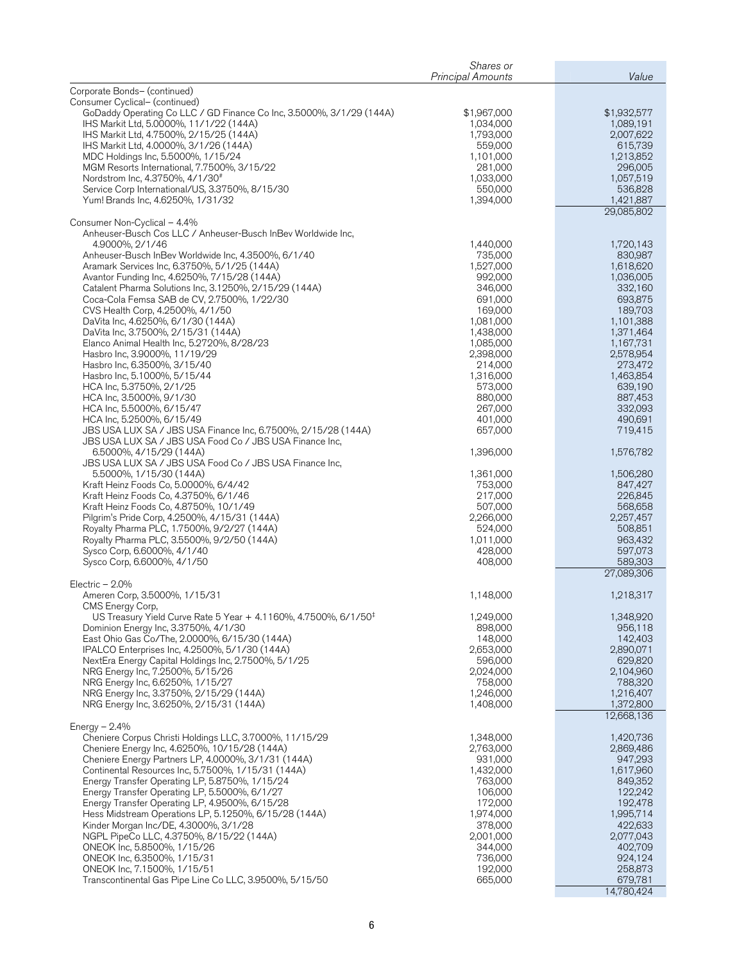|                                                                                                                                                                                                                                                                                                                                                                                                                                                                                                                                                                           | Shares or<br><b>Principal Amounts</b>                                                                                           | Value                                                                                                                           |
|---------------------------------------------------------------------------------------------------------------------------------------------------------------------------------------------------------------------------------------------------------------------------------------------------------------------------------------------------------------------------------------------------------------------------------------------------------------------------------------------------------------------------------------------------------------------------|---------------------------------------------------------------------------------------------------------------------------------|---------------------------------------------------------------------------------------------------------------------------------|
| Corporate Bonds- (continued)                                                                                                                                                                                                                                                                                                                                                                                                                                                                                                                                              |                                                                                                                                 |                                                                                                                                 |
| Consumer Cyclical- (continued)<br>GoDaddy Operating Co LLC / GD Finance Co Inc, 3.5000%, 3/1/29 (144A)<br>IHS Markit Ltd, 5.0000%, 11/1/22 (144A)<br>IHS Markit Ltd, 4.7500%, 2/15/25 (144A)                                                                                                                                                                                                                                                                                                                                                                              | \$1,967,000<br>1,034,000<br>1,793,000                                                                                           | \$1,932,577<br>1,089,191<br>2,007,622                                                                                           |
| IHS Markit Ltd, 4.0000%, 3/1/26 (144A)<br>MDC Holdings Inc, 5.5000%, 1/15/24<br>MGM Resorts International, 7.7500%, 3/15/22<br>Nordstrom Inc, 4.3750%, 4/1/30#                                                                                                                                                                                                                                                                                                                                                                                                            | 559,000<br>1,101,000<br>281,000<br>1,033,000                                                                                    | 615,739<br>1,213,852<br>296,005<br>1,057,519                                                                                    |
| Service Corp International/US, 3.3750%, 8/15/30<br>Yum! Brands Inc, 4.6250%, 1/31/32                                                                                                                                                                                                                                                                                                                                                                                                                                                                                      | 550,000<br>1,394,000                                                                                                            | 536,828<br>1,421,887<br>29,085,802                                                                                              |
| Consumer Non-Cyclical - 4.4%<br>Anheuser-Busch Cos LLC / Anheuser-Busch InBev Worldwide Inc,                                                                                                                                                                                                                                                                                                                                                                                                                                                                              |                                                                                                                                 |                                                                                                                                 |
| 4.9000%, 2/1/46<br>Anheuser-Busch InBev Worldwide Inc, 4.3500%, 6/1/40<br>Aramark Services Inc, 6.3750%, 5/1/25 (144A)<br>Avantor Funding Inc, 4.6250%, 7/15/28 (144A)                                                                                                                                                                                                                                                                                                                                                                                                    | 1,440,000<br>735,000<br>1,527,000<br>992,000                                                                                    | 1,720,143<br>830,987<br>1,618,620<br>1,036,005                                                                                  |
| Catalent Pharma Solutions Inc, 3.1250%, 2/15/29 (144A)<br>Coca-Cola Femsa SAB de CV, 2.7500%, 1/22/30<br>CVS Health Corp, 4.2500%, 4/1/50                                                                                                                                                                                                                                                                                                                                                                                                                                 | 346,000<br>691,000<br>169,000                                                                                                   | 332,160<br>693,875<br>189,703                                                                                                   |
| DaVita Inc, 4.6250%, 6/1/30 (144A)<br>DaVita Inc, 3.7500%, 2/15/31 (144A)<br>Elanco Animal Health Inc, 5.2720%, 8/28/23                                                                                                                                                                                                                                                                                                                                                                                                                                                   | 1,081,000<br>1,438,000<br>1,085,000                                                                                             | 1,101,388<br>1,371,464<br>1,167,731                                                                                             |
| Hasbro Inc, 3.9000%, 11/19/29<br>Hasbro Inc, 6.3500%, 3/15/40<br>Hasbro Inc, 5.1000%, 5/15/44<br>HCA Inc, 5.3750%, 2/1/25                                                                                                                                                                                                                                                                                                                                                                                                                                                 | 2,398,000<br>214,000<br>1,316,000<br>573,000                                                                                    | 2,578,954<br>273,472<br>1,463,854<br>639,190                                                                                    |
| HCA Inc, 3.5000%, 9/1/30<br>HCA Inc, 5.5000%, 6/15/47<br>HCA Inc, 5.2500%, 6/15/49<br>JBS USA LUX SA / JBS USA Finance Inc, 6.7500%, 2/15/28 (144A)                                                                                                                                                                                                                                                                                                                                                                                                                       | 880,000<br>267,000<br>401,000<br>657,000                                                                                        | 887,453<br>332,093<br>490,691<br>719,415                                                                                        |
| JBS USA LUX SA / JBS USA Food Co / JBS USA Finance Inc,<br>6.5000%, 4/15/29 (144A)<br>JBS USA LUX SA / JBS USA Food Co / JBS USA Finance Inc,                                                                                                                                                                                                                                                                                                                                                                                                                             | 1,396,000                                                                                                                       | 1,576,782                                                                                                                       |
| 5.5000%, 1/15/30 (144A)<br>Kraft Heinz Foods Co, 5.0000%, 6/4/42<br>Kraft Heinz Foods Co, 4.3750%, 6/1/46<br>Kraft Heinz Foods Co, 4.8750%, 10/1/49<br>Pilgrim's Pride Corp, 4.2500%, 4/15/31 (144A)                                                                                                                                                                                                                                                                                                                                                                      | 1,361,000<br>753,000<br>217,000<br>507,000<br>2,266,000                                                                         | 1,506,280<br>847,427<br>226,845<br>568,658<br>2,257,457                                                                         |
| Royalty Pharma PLC, 1.7500%, 9/2/27 (144A)<br>Royalty Pharma PLC, 3.5500%, 9/2/50 (144A)<br>Sysco Corp, 6.6000%, 4/1/40<br>Sysco Corp, 6.6000%, 4/1/50                                                                                                                                                                                                                                                                                                                                                                                                                    | 524,000<br>1,011,000<br>428,000<br>408,000                                                                                      | 508,851<br>963,432<br>597,073<br>589,303<br>27,089,306                                                                          |
| Electric $-2.0\%$<br>Ameren Corp, 3.5000%, 1/15/31                                                                                                                                                                                                                                                                                                                                                                                                                                                                                                                        | 1,148,000                                                                                                                       | 1,218,317                                                                                                                       |
| CMS Energy Corp,<br>US Treasury Yield Curve Rate 5 Year + 4.1160%, 4.7500%, 6/1/50 <sup>‡</sup><br>Dominion Energy Inc, 3.3750%, 4/1/30<br>East Ohio Gas Co/The, 2.0000%, 6/15/30 (144A)<br>IPALCO Enterprises Inc, 4.2500%, 5/1/30 (144A)<br>NextEra Energy Capital Holdings Inc, 2.7500%, 5/1/25<br>NRG Energy Inc, 7.2500%, 5/15/26<br>NRG Energy Inc, 6.6250%, 1/15/27                                                                                                                                                                                                | 1,249,000<br>898,000<br>148,000<br>2,653,000<br>596,000<br>2,024,000<br>758,000                                                 | 1,348,920<br>956,118<br>142,403<br>2,890,071<br>629,820<br>2,104,960<br>788,320                                                 |
| NRG Energy Inc, 3.3750%, 2/15/29 (144A)<br>NRG Energy Inc, 3.6250%, 2/15/31 (144A)                                                                                                                                                                                                                                                                                                                                                                                                                                                                                        | 1,246,000<br>1,408,000                                                                                                          | 1,216,407<br>1,372,800<br>12,668,136                                                                                            |
| Energy $-2.4%$<br>Cheniere Corpus Christi Holdings LLC, 3.7000%, 11/15/29<br>Cheniere Energy Inc, 4.6250%, 10/15/28 (144A)<br>Cheniere Energy Partners LP, 4.0000%, 3/1/31 (144A)<br>Continental Resources Inc, 5.7500%, 1/15/31 (144A)<br>Energy Transfer Operating LP, 5.8750%, 1/15/24<br>Energy Transfer Operating LP, 5.5000%, 6/1/27<br>Energy Transfer Operating LP, 4.9500%, 6/15/28<br>Hess Midstream Operations LP, 5.1250%, 6/15/28 (144A)<br>Kinder Morgan Inc/DE, 4.3000%, 3/1/28<br>NGPL PipeCo LLC, 4.3750%, 8/15/22 (144A)<br>ONEOK Inc, 5.8500%, 1/15/26 | 1,348,000<br>2,763,000<br>931,000<br>1,432,000<br>763,000<br>106,000<br>172,000<br>1,974,000<br>378,000<br>2,001,000<br>344,000 | 1,420,736<br>2,869,486<br>947,293<br>1,617,960<br>849,352<br>122,242<br>192,478<br>1,995,714<br>422,633<br>2,077,043<br>402,709 |
| ONEOK Inc, 6.3500%, 1/15/31<br>ONEOK Inc, 7.1500%, 1/15/51<br>Transcontinental Gas Pipe Line Co LLC, 3.9500%, 5/15/50                                                                                                                                                                                                                                                                                                                                                                                                                                                     | 736,000<br>192,000<br>665,000                                                                                                   | 924,124<br>258,873<br>679,781<br>14,780,424                                                                                     |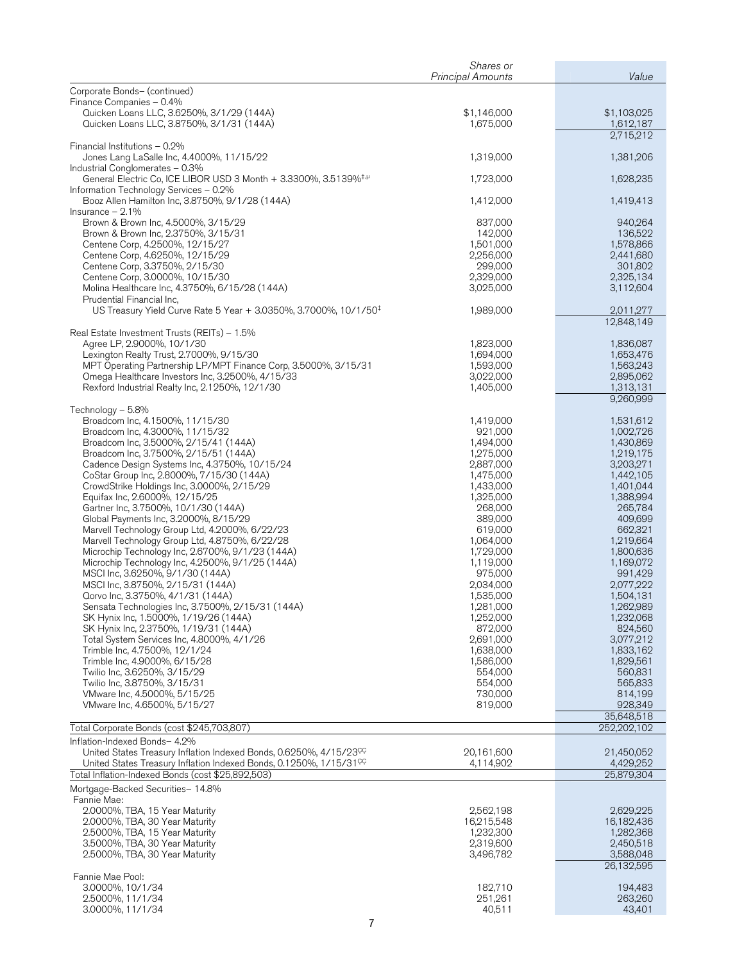|                                                                                                                                                                  | Shares or                |                          |
|------------------------------------------------------------------------------------------------------------------------------------------------------------------|--------------------------|--------------------------|
|                                                                                                                                                                  | <b>Principal Amounts</b> | Value                    |
| Corporate Bonds- (continued)<br>Finance Companies - 0.4%                                                                                                         |                          |                          |
| Quicken Loans LLC, 3.6250%, 3/1/29 (144A)<br>Quicken Loans LLC, 3.8750%, 3/1/31 (144A)                                                                           | \$1,146,000<br>1,675,000 | \$1,103,025<br>1,612,187 |
|                                                                                                                                                                  |                          | 2,715,212                |
| Financial Institutions - 0.2%<br>Jones Lang LaSalle Inc, 4.4000%, 11/15/22                                                                                       | 1,319,000                | 1,381,206                |
| Industrial Conglomerates - 0.3%                                                                                                                                  |                          |                          |
| General Electric Co, ICE LIBOR USD 3 Month + 3.3300%, 3.5139% <sup>‡,µ</sup><br>Information Technology Services - 0.2%                                           | 1,723,000                | 1,628,235                |
| Booz Allen Hamilton Inc, 3.8750%, 9/1/28 (144A)<br>Insurance $-2.1%$                                                                                             | 1,412,000                | 1,419,413                |
| Brown & Brown Inc, 4.5000%, 3/15/29                                                                                                                              | 837,000                  | 940,264                  |
| Brown & Brown Inc, 2.3750%, 3/15/31                                                                                                                              | 142,000                  | 136,522                  |
| Centene Corp, 4.2500%, 12/15/27<br>Centene Corp, 4.6250%, 12/15/29                                                                                               | 1,501,000<br>2,256,000   | 1,578,866<br>2,441,680   |
| Centene Corp, 3.3750%, 2/15/30                                                                                                                                   | 299,000                  | 301,802                  |
| Centene Corp, 3.0000%, 10/15/30                                                                                                                                  | 2,329,000                | 2,325,134                |
| Molina Healthcare Inc, 4.3750%, 6/15/28 (144A)                                                                                                                   | 3,025,000                | 3,112,604                |
| Prudential Financial Inc,<br>US Treasury Yield Curve Rate 5 Year + 3.0350%, 3.7000%, 10/1/50 <sup>‡</sup>                                                        | 1,989,000                | 2,011,277                |
|                                                                                                                                                                  |                          | 12,848,149               |
| Real Estate Investment Trusts (REITs) - 1.5%<br>Agree LP, 2.9000%, 10/1/30                                                                                       | 1,823,000                | 1,836,087                |
| Lexington Realty Trust, 2.7000%, 9/15/30                                                                                                                         | 1,694,000                | 1,653,476                |
| MPT Operating Partnership LP/MPT Finance Corp, 3.5000%, 3/15/31                                                                                                  | 1,593,000                | 1,563,243                |
| Omega Healthcare Investors Inc, 3.2500%, 4/15/33                                                                                                                 | 3,022,000                | 2,895,062                |
| Rexford Industrial Realty Inc, 2.1250%, 12/1/30                                                                                                                  | 1,405,000                | 1,313,131<br>9,260,999   |
| Technology - 5.8%                                                                                                                                                |                          |                          |
| Broadcom Inc, 4.1500%, 11/15/30                                                                                                                                  | 1,419,000                | 1,531,612                |
| Broadcom Inc, 4.3000%, 11/15/32<br>Broadcom Inc, 3.5000%, 2/15/41 (144A)                                                                                         | 921,000<br>1,494,000     | 1,002,726<br>1,430,869   |
| Broadcom Inc, 3.7500%, 2/15/51 (144A)                                                                                                                            | 1,275,000                | 1,219,175                |
| Cadence Design Systems Inc, 4.3750%, 10/15/24                                                                                                                    | 2,887,000                | 3,203,271                |
| CoStar Group Inc, 2.8000%, 7/15/30 (144A)                                                                                                                        | 1,475,000                | 1,442,105                |
| CrowdStrike Holdings Inc, 3.0000%, 2/15/29                                                                                                                       | 1,433,000                | 1,401,044                |
| Equifax Inc, 2.6000%, 12/15/25<br>Gartner Inc, 3.7500%, 10/1/30 (144A)                                                                                           | 1,325,000<br>268,000     | 1,388,994<br>265,784     |
| Global Payments Inc, 3.2000%, 8/15/29                                                                                                                            | 389,000                  | 409,699                  |
| Marvell Technology Group Ltd, 4.2000%, 6/22/23                                                                                                                   | 619,000                  | 662,321                  |
| Marvell Technology Group Ltd, 4.8750%, 6/22/28                                                                                                                   | 1,064,000                | 1,219,664                |
| Microchip Technology Inc, 2.6700%, 9/1/23 (144A)                                                                                                                 | 1,729,000                | 1,800,636                |
| Microchip Technology Inc, 4.2500%, 9/1/25 (144A)<br>MSCI Inc, 3.6250%, 9/1/30 (144A)                                                                             | 1,119,000<br>975,000     | 1,169,072<br>991,429     |
| MSCI Inc, 3.8750%, 2/15/31 (144A)                                                                                                                                | 2,034,000                | 2,077,222                |
| Qorvo Inc, 3.3750%, 4/1/31 (144A)                                                                                                                                | 1,535,000                | 1,504,131                |
| Sensata Technologies Inc, 3.7500%, 2/15/31 (144A)                                                                                                                | 1,281,000                | 1,262,989                |
| SK Hynix Inc, 1.5000%, 1/19/26 (144A)                                                                                                                            | 1,252,000                | 1,232,068                |
| SK Hynix Inc, 2.3750%, 1/19/31 (144A)                                                                                                                            | 872,000<br>2,691,000     | 824,560                  |
| Total System Services Inc, 4.8000%, 4/1/26<br>Trimble Inc, 4.7500%, 12/1/24                                                                                      | 1,638,000                | 3,077,212<br>1,833,162   |
| Trimble Inc, 4.9000%, 6/15/28                                                                                                                                    | 1,586,000                | 1,829,561                |
| Twilio Inc, 3.6250%, 3/15/29                                                                                                                                     | 554,000                  | 560,831                  |
| Twilio Inc, 3.8750%, 3/15/31                                                                                                                                     | 554,000                  | 565,833                  |
| VMware Inc, 4.5000%, 5/15/25<br>VMware Inc, 4.6500%, 5/15/27                                                                                                     | 730,000<br>819,000       | 814,199<br>928,349       |
|                                                                                                                                                                  |                          | 35,648,518               |
| Total Corporate Bonds (cost \$245,703,807)                                                                                                                       |                          | 252,202,102              |
| Inflation-Indexed Bonds- 4.2%                                                                                                                                    |                          |                          |
| United States Treasury Inflation Indexed Bonds, 0.6250%, 4/15/23 <sup>CC</sup><br>United States Treasury Inflation Indexed Bonds, 0.1250%, 1/15/31 <sup>CC</sup> | 20,161,600<br>4,114,902  | 21.450.052<br>4,429,252  |
| Total Inflation-Indexed Bonds (cost \$25,892,503)                                                                                                                |                          | 25,879,304               |
| Mortgage-Backed Securities- 14.8%                                                                                                                                |                          |                          |
| Fannie Mae:<br>2.0000%, TBA, 15 Year Maturity                                                                                                                    | 2,562,198                | 2,629,225                |
| 2.0000%, TBA, 30 Year Maturity                                                                                                                                   | 16,215,548               | 16,182,436               |
| 2.5000%, TBA, 15 Year Maturity                                                                                                                                   | 1,232,300                | 1,282,368                |
| 3.5000%, TBA, 30 Year Maturity                                                                                                                                   | 2,319,600                | 2,450,518                |
| 2.5000%, TBA, 30 Year Maturity                                                                                                                                   | 3,496,782                | 3,588,048<br>26,132,595  |
| Fannie Mae Pool:                                                                                                                                                 |                          |                          |
| 3.0000%, 10/1/34                                                                                                                                                 | 182,710                  | 194,483                  |
| 2.5000%, 11/1/34<br>3.0000%, 11/1/34                                                                                                                             | 251,261<br>40,511        | 263,260<br>43,401        |
|                                                                                                                                                                  |                          |                          |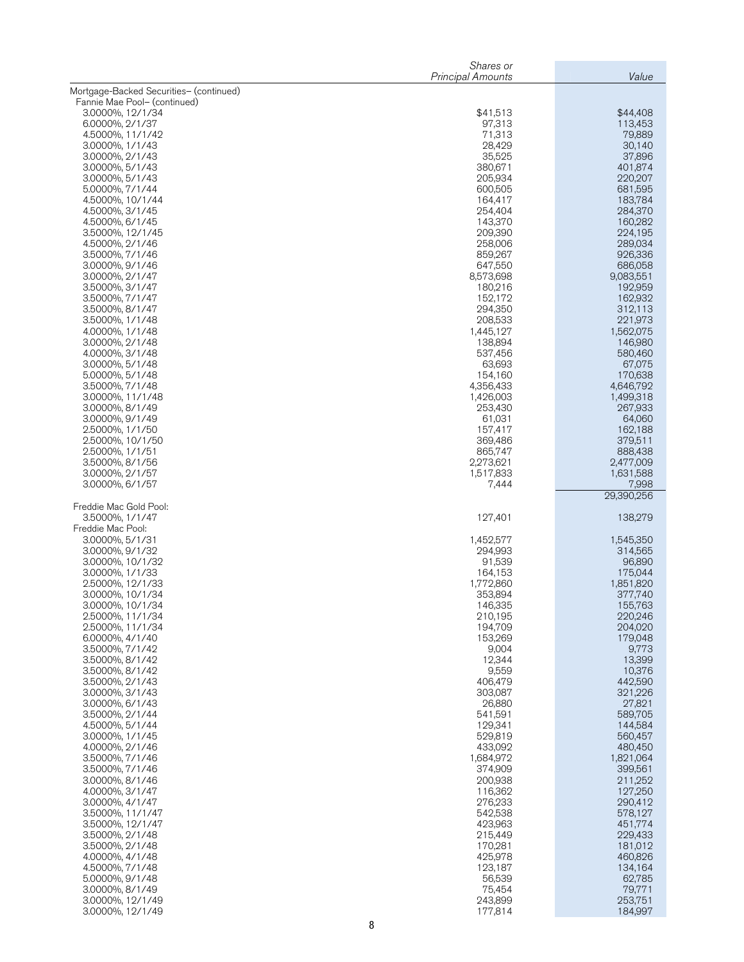|                                         | Value                |                      |
|-----------------------------------------|----------------------|----------------------|
| Mortgage-Backed Securities- (continued) |                      |                      |
| Fannie Mae Pool- (continued)            |                      |                      |
| 3.0000%, 12/1/34<br>6.0000%, 2/1/37     | \$41,513<br>97,313   | \$44,408<br>113,453  |
| 4.5000%, 11/1/42                        | 71,313               | 79,889               |
| 3.0000%, 1/1/43                         | 28,429               | 30,140               |
| 3.0000%, 2/1/43                         | 35,525               | 37,896<br>401,874    |
| 3.0000%, 5/1/43<br>3.0000%, 5/1/43      | 380,671<br>205,934   | 220,207              |
| 5.0000%, 7/1/44                         | 600,505              | 681,595              |
| 4.5000%, 10/1/44                        | 164,417              | 183,784              |
| 4.5000%, 3/1/45<br>4.5000%, 6/1/45      | 254,404<br>143,370   | 284,370<br>160,282   |
| 3.5000%, 12/1/45                        | 209,390              | 224,195              |
| 4.5000%, 2/1/46                         | 258,006              | 289,034              |
| 3.5000%, 7/1/46<br>3.0000%, 9/1/46      | 859,267<br>647,550   | 926,336<br>686,058   |
| 3.0000%, 2/1/47                         | 8,573,698            | 9,083,551            |
| 3.5000%, 3/1/47                         | 180,216              | 192,959              |
| 3.5000%, 7/1/47<br>3.5000%, 8/1/47      | 152,172<br>294,350   | 162,932<br>312,113   |
| 3.5000%, 1/1/48                         | 208,533              | 221,973              |
| 4.0000%, 1/1/48                         | 1,445,127            | 1,562,075            |
| 3.0000%, 2/1/48                         | 138,894              | 146,980              |
| 4.0000%, 3/1/48<br>3.0000%, 5/1/48      | 537,456<br>63,693    | 580,460<br>67,075    |
| 5.0000%, 5/1/48                         | 154,160              | 170,638              |
| 3.5000%, 7/1/48                         | 4,356,433            | 4,646,792            |
| 3.0000%, 11/1/48<br>3.0000%, 8/1/49     | 1,426,003<br>253,430 | 1,499,318<br>267,933 |
| 3.0000%, 9/1/49                         | 61,031               | 64,060               |
| 2.5000%, 1/1/50                         | 157,417              | 162,188              |
| 2.5000%, 10/1/50<br>2.5000%, 1/1/51     | 369,486<br>865,747   | 379,511<br>888,438   |
| 3.5000%, 8/1/56                         | 2,273,621            | 2,477,009            |
| 3.0000%, 2/1/57                         | 1,517,833            | 1,631,588            |
| 3.0000%, 6/1/57                         | 7,444                | 7,998<br>29,390,256  |
| Freddie Mac Gold Pool:                  |                      |                      |
| 3.5000%, 1/1/47<br>Freddie Mac Pool:    | 127,401              | 138,279              |
| 3.0000%, 5/1/31                         | 1,452,577            | 1,545,350            |
| 3.0000%, 9/1/32                         | 294,993              | 314,565              |
| 3.0000%, 10/1/32<br>3.0000%, 1/1/33     | 91,539<br>164,153    | 96,890<br>175,044    |
| 2.5000%, 12/1/33                        | 1,772,860            | 1,851,820            |
| 3.0000%, 10/1/34                        | 353,894              | 377,740              |
| 3.0000%, 10/1/34<br>2.5000%, 11/1/34    | 146,335<br>210,195   | 155,763<br>220,246   |
| 2.5000%, 11/1/34                        | 194,709              | 204,020              |
| 6.0000%, 4/1/40                         | 153,269              | 179,048              |
| 3.5000%, 7/1/42<br>3.5000%, 8/1/42      | 9,004<br>12,344      | 9,773<br>13,399      |
| 3.5000%, 8/1/42                         | 9,559                | 10,376               |
| 3.5000%, 2/1/43                         | 406,479              | 442,590              |
| 3.0000%, 3/1/43                         | 303,087              | 321,226              |
| 3.0000%, 6/1/43<br>3.5000%, 2/1/44      | 26,880<br>541,591    | 27,821<br>589,705    |
| 4.5000%, 5/1/44                         | 129,341              | 144,584              |
| 3.0000%, 1/1/45                         | 529,819              | 560,457              |
| 4.0000%, 2/1/46<br>3.5000%, 7/1/46      | 433,092<br>1,684,972 | 480,450<br>1,821,064 |
| 3.5000%, 7/1/46                         | 374,909              | 399,561              |
| 3.0000%, 8/1/46                         | 200,938              | 211,252              |
| 4.0000%, 3/1/47<br>3.0000%, 4/1/47      | 116,362<br>276,233   | 127,250<br>290,412   |
| 3.5000%, 11/1/47                        | 542,538              | 578,127              |
| 3.5000%, 12/1/47                        | 423,963              | 451,774              |
| 3.5000%, 2/1/48                         | 215,449              | 229,433              |
| 3.5000%, 2/1/48<br>4.0000%, 4/1/48      | 170,281<br>425,978   | 181,012<br>460,826   |
| 4.5000%, 7/1/48                         | 123,187              | 134,164              |
| 5.0000%, 9/1/48                         | 56,539               | 62,785               |
| 3.0000%, 8/1/49<br>3.0000%, 12/1/49     | 75,454<br>243,899    | 79,771<br>253,751    |
| 3.0000%, 12/1/49                        | 177,814              | 184,997              |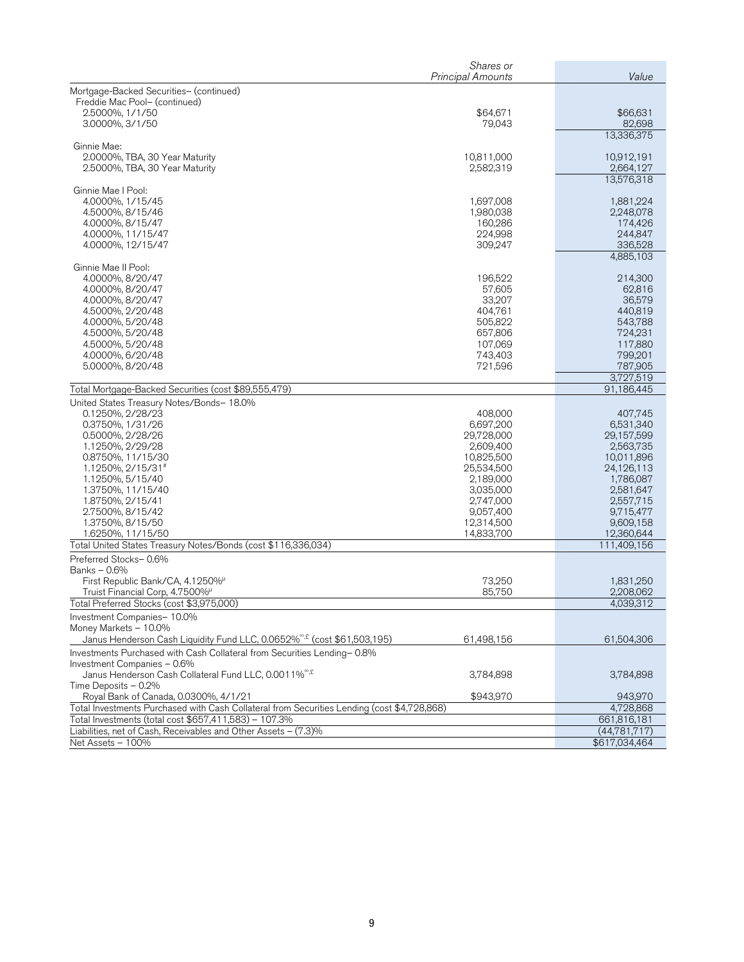|                                                                                             | Shares or                |                         |
|---------------------------------------------------------------------------------------------|--------------------------|-------------------------|
|                                                                                             | <b>Principal Amounts</b> | Value                   |
| Mortgage-Backed Securities- (continued)                                                     |                          |                         |
| Freddie Mac Pool- (continued)                                                               |                          |                         |
| 2.5000%, 1/1/50                                                                             | \$64,671                 | \$66,631                |
| 3.0000%, 3/1/50                                                                             | 79,043                   | 82,698                  |
|                                                                                             |                          | 13,336,375              |
| Ginnie Mae:<br>2.0000%, TBA, 30 Year Maturity                                               | 10,811,000               | 10,912,191              |
| 2.5000%, TBA, 30 Year Maturity                                                              | 2,582,319                | 2,664,127               |
|                                                                                             |                          | 13,576,318              |
| Ginnie Mae I Pool:                                                                          |                          |                         |
| 4.0000%, 1/15/45                                                                            | 1,697,008                | 1,881,224               |
| 4.5000%, 8/15/46                                                                            | 1,980,038                | 2,248,078               |
| 4.0000%, 8/15/47                                                                            | 160,286                  | 174,426                 |
| 4.0000%, 11/15/47                                                                           | 224,998                  | 244,847                 |
| 4.0000%, 12/15/47                                                                           | 309,247                  | 336,528                 |
|                                                                                             |                          | 4,885,103               |
| Ginnie Mae II Pool:<br>4.0000%, 8/20/47                                                     | 196,522                  | 214,300                 |
| 4.0000%, 8/20/47                                                                            | 57,605                   | 62,816                  |
| 4.0000%, 8/20/47                                                                            | 33,207                   | 36,579                  |
| 4.5000%, 2/20/48                                                                            | 404,761                  | 440,819                 |
| 4.0000%, 5/20/48                                                                            | 505,822                  | 543,788                 |
| 4.5000%, 5/20/48                                                                            | 657,806                  | 724,231                 |
| 4.5000%, 5/20/48                                                                            | 107.069                  | 117,880                 |
| 4.0000%, 6/20/48                                                                            | 743.403                  | 799,201                 |
| 5.0000%, 8/20/48                                                                            | 721,596                  | 787,905                 |
|                                                                                             |                          | 3,727,519               |
| Total Mortgage-Backed Securities (cost \$89,555,479)                                        |                          | 91,186,445              |
| United States Treasury Notes/Bonds- 18.0%                                                   |                          |                         |
| 0.1250%, 2/28/23                                                                            | 408,000                  | 407,745                 |
| 0.3750%, 1/31/26                                                                            | 6,697,200                | 6,531,340               |
| 0.5000%, 2/28/26                                                                            | 29,728,000               | 29,157,599              |
| 1.1250%, 2/29/28<br>0.8750%, 11/15/30                                                       | 2,609,400<br>10,825,500  | 2,563,735<br>10,011,896 |
| 1.1250%, 2/15/31#                                                                           | 25,534,500               | 24,126,113              |
| 1.1250%, 5/15/40                                                                            | 2,189,000                | 1,786,087               |
| 1.3750%, 11/15/40                                                                           | 3,035,000                | 2,581,647               |
| 1.8750%, 2/15/41                                                                            | 2,747,000                | 2,557,715               |
| 2.7500%, 8/15/42                                                                            | 9,057,400                | 9,715,477               |
| 1.3750%, 8/15/50                                                                            | 12,314,500               | 9,609,158               |
| 1.6250%, 11/15/50                                                                           | 14,833,700               | 12,360,644              |
| Total United States Treasury Notes/Bonds (cost \$116,336,034)                               |                          | 111,409,156             |
| Preferred Stocks-0.6%                                                                       |                          |                         |
| Banks - 0.6%                                                                                |                          |                         |
| First Republic Bank/CA, 4.1250%                                                             | 73,250                   | 1,831,250               |
| Truist Financial Corp, 4.7500%<br>Total Preferred Stocks (cost \$3,975,000)                 | 85,750                   | 2,208,062               |
|                                                                                             |                          | 4,039,312               |
| Investment Companies-10.0%<br>Money Markets - 10.0%                                         |                          |                         |
| Janus Henderson Cash Liquidity Fund LLC, 0.0652% <sup>®,£</sup> (cost \$61,503,195)         | 61,498,156               | 61,504,306              |
| Investments Purchased with Cash Collateral from Securities Lending-0.8%                     |                          |                         |
| Investment Companies - 0.6%                                                                 |                          |                         |
| Janus Henderson Cash Collateral Fund LLC, 0.0011% <sup>®,£</sup>                            | 3,784,898                | 3,784,898               |
| Time Deposits - 0.2%                                                                        |                          |                         |
| Royal Bank of Canada, 0.0300%, 4/1/21                                                       | \$943,970                | 943,970                 |
| Total Investments Purchased with Cash Collateral from Securities Lending (cost \$4,728,868) |                          | 4,728,868               |
| Total Investments (total cost \$657,411,583) - 107.3%                                       |                          | 661,816,181             |
| Liabilities, net of Cash, Receivables and Other Assets - (7.3)%                             |                          | (44.781.717)            |
| Net Assets - 100%                                                                           |                          | \$617,034,464           |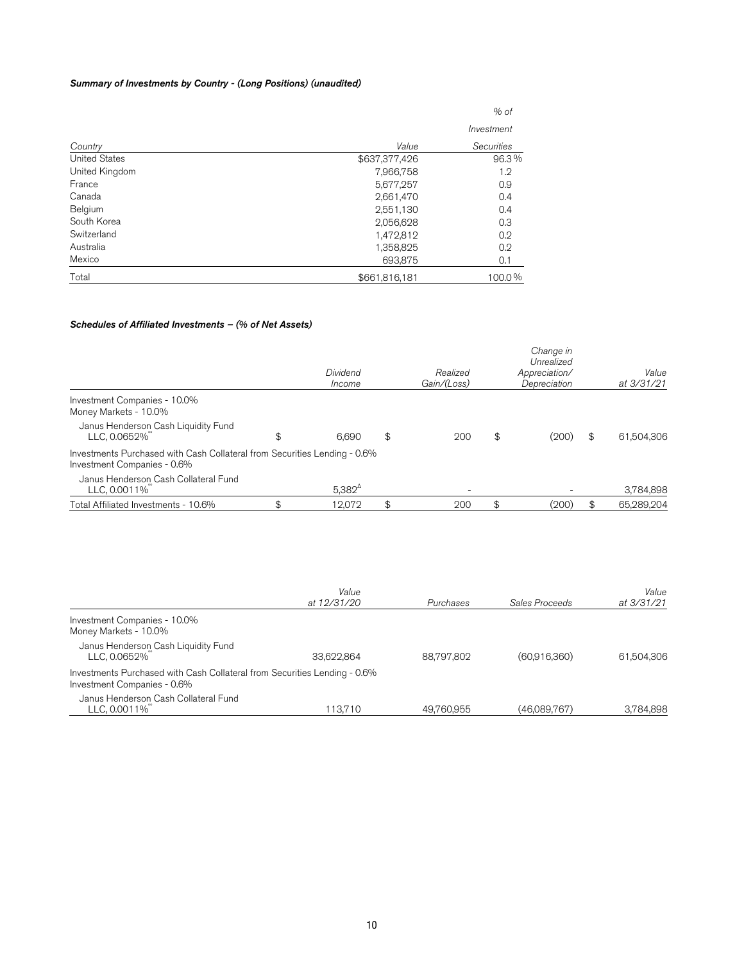### Summary of Investments by Country - (Long Positions) (unaudited)

|                      |               | $%$ of     |
|----------------------|---------------|------------|
|                      |               | Investment |
| Country              | Value         | Securities |
| <b>United States</b> | \$637,377,426 | 96.3%      |
| United Kingdom       | 7,966,758     | 1.2        |
| France               | 5,677,257     | 0.9        |
| Canada               | 2,661,470     | 0.4        |
| Belgium              | 2,551,130     | 0.4        |
| South Korea          | 2,056,628     | 0.3        |
| Switzerland          | 1,472,812     | 0.2        |
| Australia            | 1,358,825     | 0.2        |
| Mexico               | 693,875       | 0.1        |
| Total                | \$661,816,181 | 100.0%     |

### Schedules of Affiliated Investments – (% of Net Assets)

|                                                                                                          | Dividend<br>Income | Realized<br>Gain/(Loss) | Change in<br>Unrealized<br>Appreciation/<br>Depreciation | Value<br>at 3/31/21 |
|----------------------------------------------------------------------------------------------------------|--------------------|-------------------------|----------------------------------------------------------|---------------------|
| Investment Companies - 10.0%<br>Money Markets - 10.0%                                                    |                    |                         |                                                          |                     |
| Janus Henderson Cash Liquidity Fund<br>LLC. 0.0652%                                                      | \$<br>6.690        | \$<br>200               | \$<br>(200)                                              | \$<br>61,504,306    |
| Investments Purchased with Cash Collateral from Securities Lending - 0.6%<br>Investment Companies - 0.6% |                    |                         |                                                          |                     |
| Janus Henderson Cash Collateral Fund<br>LLC, 0.0011%                                                     | $5.382^{\circ}$    |                         |                                                          | 3,784,898           |
| Total Affiliated Investments - 10.6%                                                                     | \$<br>12.072       | 200                     | (200)                                                    | 65.289.204          |

|                                                                                                          | Value<br>at 12/31/20 | Purchases  | Sales Proceeds | Value<br>at 3/31/21 |
|----------------------------------------------------------------------------------------------------------|----------------------|------------|----------------|---------------------|
| Investment Companies - 10.0%<br>Money Markets - 10.0%                                                    |                      |            |                |                     |
| Janus Henderson Cash Liquidity Fund<br>LLC, 0.0652%                                                      | 33.622.864           | 88.797.802 | (60,916,360)   | 61,504,306          |
| Investments Purchased with Cash Collateral from Securities Lending - 0.6%<br>Investment Companies - 0.6% |                      |            |                |                     |
| Janus Henderson Cash Collateral Fund<br>LLC, 0.0011%                                                     | 113.710              | 49.760.955 | (46.089.767)   | 3.784.898           |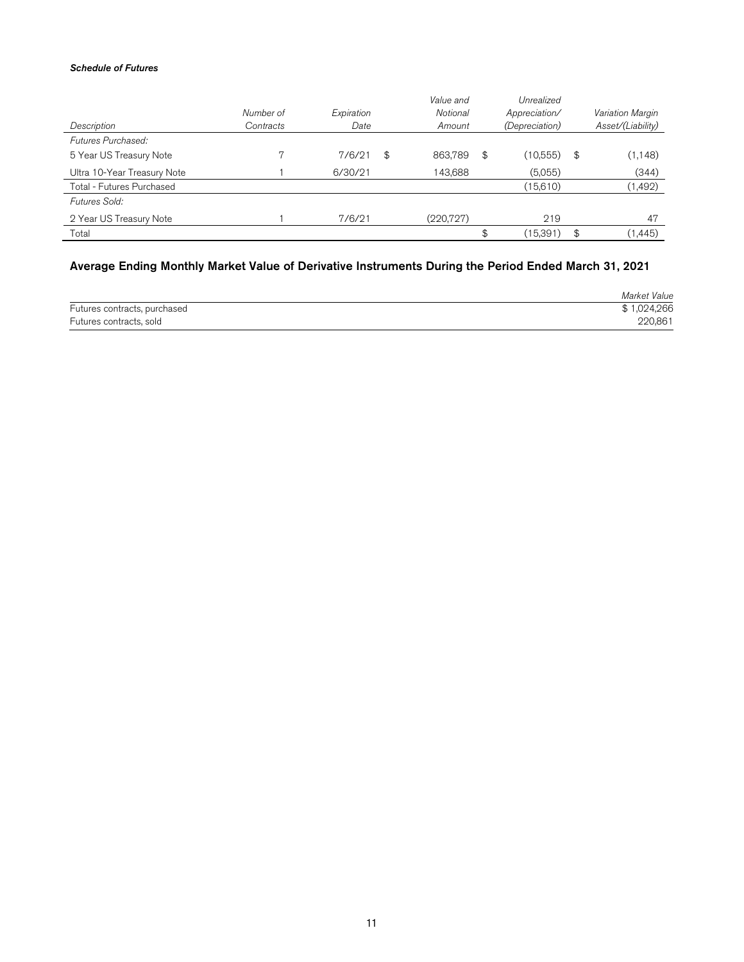### Schedule of Futures

|                             |           |            | Value and     |     | Unrealized            |     |                   |
|-----------------------------|-----------|------------|---------------|-----|-----------------------|-----|-------------------|
|                             | Number of | Expiration | Notional      |     | Appreciation/         |     | Variation Margin  |
| Description                 | Contracts | Date       | Amount        |     | <i>(Depreciation)</i> |     | Asset/(Liability) |
| Futures Purchased:          |           |            |               |     |                       |     |                   |
| 5 Year US Treasury Note     |           | 7/6/21     | \$<br>863.789 | \$  | (10,555)              | -\$ | (1, 148)          |
| Ultra 10-Year Treasury Note |           | 6/30/21    | 143.688       |     | (5,055)               |     | (344)             |
| Total - Futures Purchased   |           |            |               |     | (15,610)              |     | (1, 492)          |
| Futures Sold:               |           |            |               |     |                       |     |                   |
| 2 Year US Treasury Note     |           | 7/6/21     | (220, 727)    |     | 219                   |     | 47                |
| Total                       |           |            |               | \$. | (15,391)              | \$  | (1, 445)          |

# Average Ending Monthly Market Value of Derivative Instruments During the Period Ended March 31, 2021

|                              | Market Value |
|------------------------------|--------------|
| Futures contracts, purchased | \$1,024,266  |
| Futures contracts, sold      | 220,861      |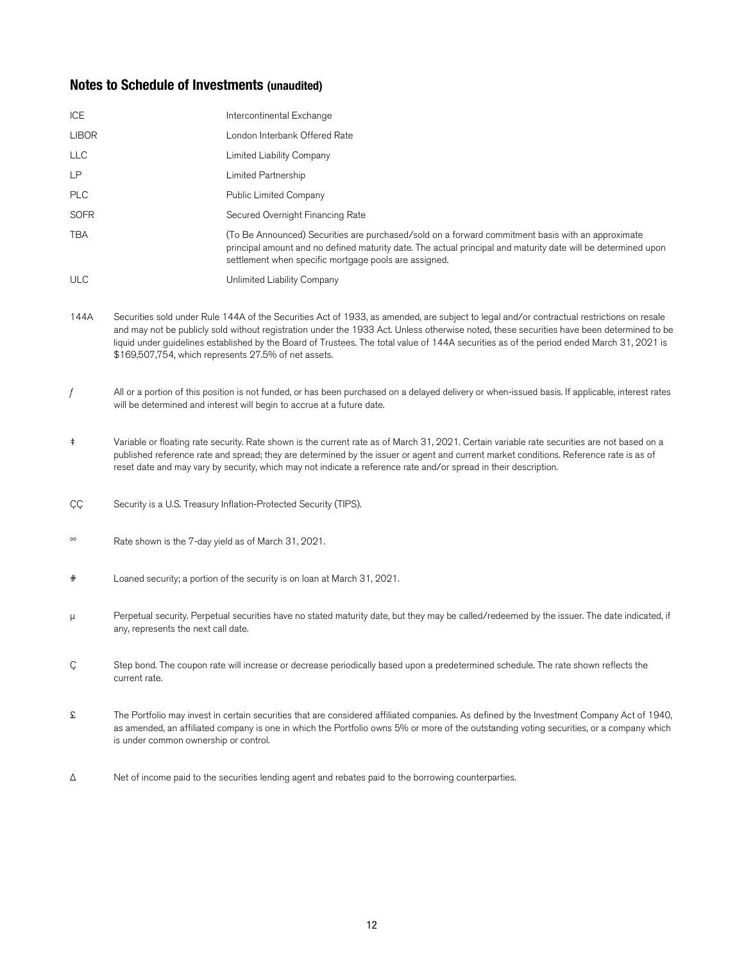# **Notes to Schedule of Investments (unaudited)**

| ICE          | Intercontinental Exchange                                                                                                                                                                                                                                                   |
|--------------|-----------------------------------------------------------------------------------------------------------------------------------------------------------------------------------------------------------------------------------------------------------------------------|
| <b>LIBOR</b> | London Interbank Offered Rate                                                                                                                                                                                                                                               |
| <b>LLC</b>   | Limited Liability Company                                                                                                                                                                                                                                                   |
| <b>LP</b>    | Limited Partnership                                                                                                                                                                                                                                                         |
| <b>PLC</b>   | Public Limited Company                                                                                                                                                                                                                                                      |
| <b>SOFR</b>  | Secured Overnight Financing Rate                                                                                                                                                                                                                                            |
| <b>TBA</b>   | (To Be Announced) Securities are purchased/sold on a forward commitment basis with an approximate<br>principal amount and no defined maturity date. The actual principal and maturity date will be determined upon<br>settlement when specific mortgage pools are assigned. |
| <b>ULC</b>   | Unlimited Liability Company                                                                                                                                                                                                                                                 |

- 144A Securities sold under Rule 144A of the Securities Act of 1933, as amended, are subject to legal and/or contractual restrictions on resale and may not be publicly sold without registration under the 1933 Act. Unless otherwise noted, these securities have been determined to be liquid under guidelines established by the Board of Trustees. The total value of 144A securities as of the period ended March 31, 2021 is \$169,507,754, which represents 27.5% of net assets.
- $f$  All or a portion of this position is not funded, or has been purchased on a delayed delivery or when-issued basis. If applicable, interest rates will be determined and interest will begin to accrue at a future date.
- ‡ Variable or floating rate security. Rate shown is the current rate as of March 31, 2021. Certain variable rate securities are not based on a published reference rate and spread; they are determined by the issuer or agent and current market conditions. Reference rate is as of reset date and may vary by security, which may not indicate a reference rate and/or spread in their description.
- CC Security is a U.S. Treasury Inflation-Protected Security (TIPS).
- ºº Rate shown is the 7-day yield as of March 31, 2021.
- # Loaned security; a portion of the security is on loan at March 31, 2021.
- μ Perpetual security. Perpetual securities have no stated maturity date, but they may be called/redeemed by the issuer. The date indicated, if any, represents the next call date.
- Ç Step bond. The coupon rate will increase or decrease periodically based upon a predetermined schedule. The rate shown reflects the current rate.
- £ The Portfolio may invest in certain securities that are considered affiliated companies. As defined by the Investment Company Act of 1940, as amended, an affiliated company is one in which the Portfolio owns 5% or more of the outstanding voting securities, or a company which is under common ownership or control.
- $\Delta$  Net of income paid to the securities lending agent and rebates paid to the borrowing counterparties.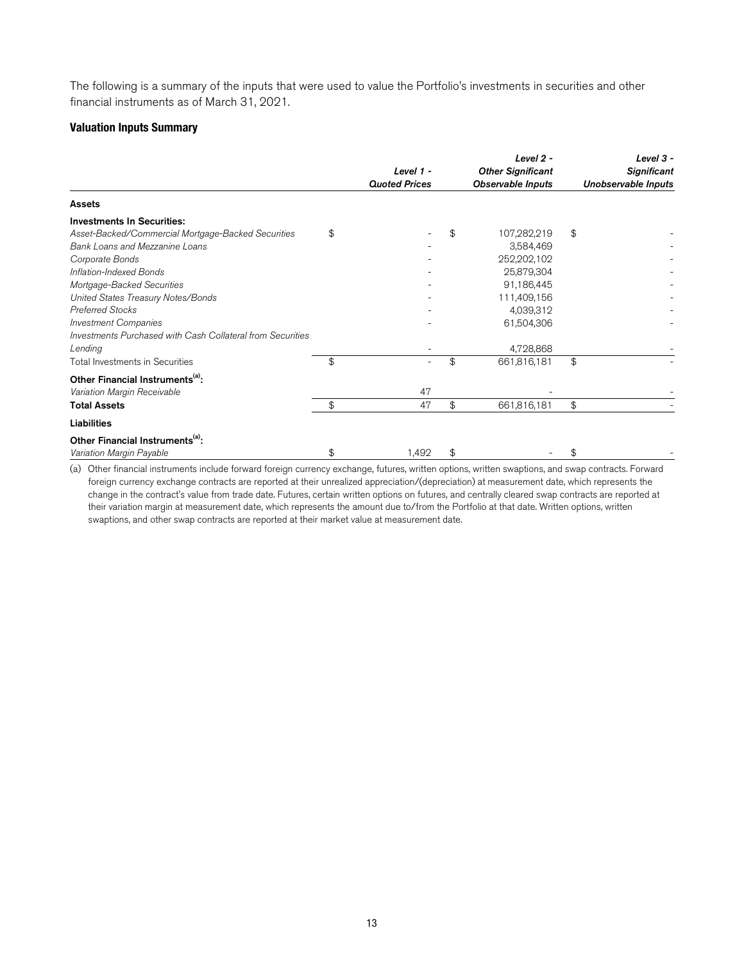The following is a summary of the inputs that were used to value the Portfolio's investments in securities and other financial instruments as of March 31, 2021.

## **Valuation Inputs Summary**

| Level 1 -<br><b>Quoted Prices</b> |       | Level 2 -<br><b>Other Significant</b> | Level 3 -<br><b>Significant</b><br>Unobservable Inputs |  |
|-----------------------------------|-------|---------------------------------------|--------------------------------------------------------|--|
|                                   |       |                                       |                                                        |  |
|                                   |       |                                       |                                                        |  |
| \$                                | \$    | 107,282,219                           | \$                                                     |  |
|                                   |       | 3,584,469                             |                                                        |  |
|                                   |       | 252,202,102                           |                                                        |  |
|                                   |       | 25,879,304                            |                                                        |  |
|                                   |       | 91,186,445                            |                                                        |  |
|                                   |       | 111,409,156                           |                                                        |  |
|                                   |       | 4,039,312                             |                                                        |  |
|                                   |       | 61,504,306                            |                                                        |  |
|                                   |       |                                       |                                                        |  |
|                                   |       | 4,728,868                             |                                                        |  |
| \$                                | \$    | 661,816,181                           | \$                                                     |  |
|                                   |       |                                       |                                                        |  |
| 47                                |       |                                       |                                                        |  |
| \$<br>47                          | \$    | 661,816,181                           | \$                                                     |  |
|                                   |       |                                       |                                                        |  |
|                                   |       |                                       |                                                        |  |
| \$                                | \$    |                                       | \$                                                     |  |
|                                   | 1,492 |                                       | <b>Observable Inputs</b>                               |  |

(a) Other financial instruments include forward foreign currency exchange, futures, written options, written swaptions, and swap contracts. Forward foreign currency exchange contracts are reported at their unrealized appreciation/(depreciation) at measurement date, which represents the change in the contract's value from trade date. Futures, certain written options on futures, and centrally cleared swap contracts are reported at their variation margin at measurement date, which represents the amount due to/from the Portfolio at that date. Written options, written swaptions, and other swap contracts are reported at their market value at measurement date.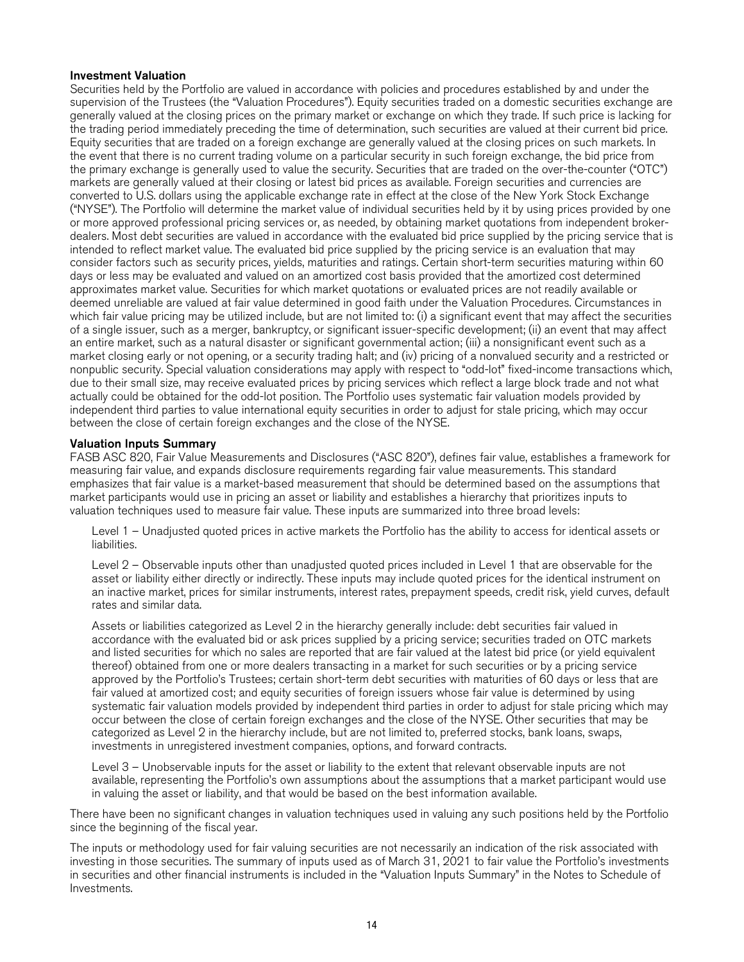### Investment Valuation

Securities held by the Portfolio are valued in accordance with policies and procedures established by and under the supervision of the Trustees (the "Valuation Procedures"). Equity securities traded on a domestic securities exchange are generally valued at the closing prices on the primary market or exchange on which they trade. If such price is lacking for the trading period immediately preceding the time of determination, such securities are valued at their current bid price. Equity securities that are traded on a foreign exchange are generally valued at the closing prices on such markets. In the event that there is no current trading volume on a particular security in such foreign exchange, the bid price from the primary exchange is generally used to value the security. Securities that are traded on the over-the-counter ("OTC") markets are generally valued at their closing or latest bid prices as available. Foreign securities and currencies are converted to U.S. dollars using the applicable exchange rate in effect at the close of the New York Stock Exchange ("NYSE"). The Portfolio will determine the market value of individual securities held by it by using prices provided by one or more approved professional pricing services or, as needed, by obtaining market quotations from independent brokerdealers. Most debt securities are valued in accordance with the evaluated bid price supplied by the pricing service that is intended to reflect market value. The evaluated bid price supplied by the pricing service is an evaluation that may consider factors such as security prices, yields, maturities and ratings. Certain short-term securities maturing within 60 days or less may be evaluated and valued on an amortized cost basis provided that the amortized cost determined approximates market value. Securities for which market quotations or evaluated prices are not readily available or deemed unreliable are valued at fair value determined in good faith under the Valuation Procedures. Circumstances in which fair value pricing may be utilized include, but are not limited to: (i) a significant event that may affect the securities of a single issuer, such as a merger, bankruptcy, or significant issuer-specific development; (ii) an event that may affect an entire market, such as a natural disaster or significant governmental action; (iii) a nonsignificant event such as a market closing early or not opening, or a security trading halt; and (iv) pricing of a nonvalued security and a restricted or nonpublic security. Special valuation considerations may apply with respect to "odd-lot" fixed-income transactions which, due to their small size, may receive evaluated prices by pricing services which reflect a large block trade and not what actually could be obtained for the odd-lot position. The Portfolio uses systematic fair valuation models provided by independent third parties to value international equity securities in order to adjust for stale pricing, which may occur between the close of certain foreign exchanges and the close of the NYSE.

### Valuation Inputs Summary

FASB ASC 820, Fair Value Measurements and Disclosures ("ASC 820"), defines fair value, establishes a framework for measuring fair value, and expands disclosure requirements regarding fair value measurements. This standard emphasizes that fair value is a market-based measurement that should be determined based on the assumptions that market participants would use in pricing an asset or liability and establishes a hierarchy that prioritizes inputs to valuation techniques used to measure fair value. These inputs are summarized into three broad levels:

Level 1 – Unadjusted quoted prices in active markets the Portfolio has the ability to access for identical assets or liabilities.

Level 2 – Observable inputs other than unadjusted quoted prices included in Level 1 that are observable for the asset or liability either directly or indirectly. These inputs may include quoted prices for the identical instrument on an inactive market, prices for similar instruments, interest rates, prepayment speeds, credit risk, yield curves, default rates and similar data.

Assets or liabilities categorized as Level 2 in the hierarchy generally include: debt securities fair valued in accordance with the evaluated bid or ask prices supplied by a pricing service; securities traded on OTC markets and listed securities for which no sales are reported that are fair valued at the latest bid price (or yield equivalent thereof) obtained from one or more dealers transacting in a market for such securities or by a pricing service approved by the Portfolio's Trustees; certain short-term debt securities with maturities of 60 days or less that are fair valued at amortized cost; and equity securities of foreign issuers whose fair value is determined by using systematic fair valuation models provided by independent third parties in order to adjust for stale pricing which may occur between the close of certain foreign exchanges and the close of the NYSE. Other securities that may be categorized as Level 2 in the hierarchy include, but are not limited to, preferred stocks, bank loans, swaps, investments in unregistered investment companies, options, and forward contracts.

Level 3 – Unobservable inputs for the asset or liability to the extent that relevant observable inputs are not available, representing the Portfolio's own assumptions about the assumptions that a market participant would use in valuing the asset or liability, and that would be based on the best information available.

There have been no significant changes in valuation techniques used in valuing any such positions held by the Portfolio since the beginning of the fiscal year.

The inputs or methodology used for fair valuing securities are not necessarily an indication of the risk associated with investing in those securities. The summary of inputs used as of March 31, 2021 to fair value the Portfolio's investments in securities and other financial instruments is included in the "Valuation Inputs Summary" in the Notes to Schedule of Investments.